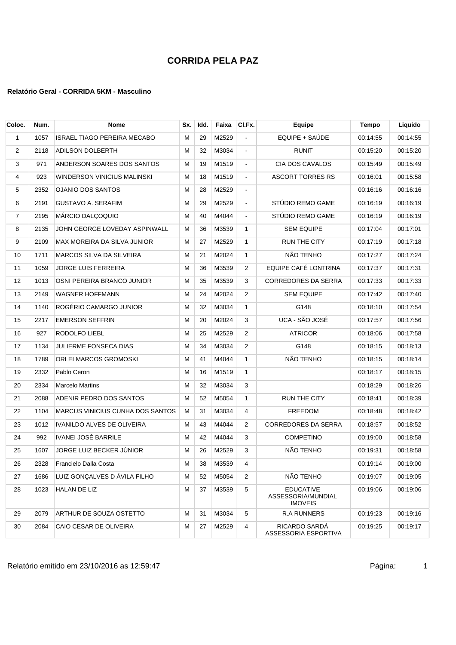| Coloc. | Num. | <b>Nome</b>                             | Sx. | Idd. | Faixa | CI.Fx.         | Equipe                                                   | <b>Tempo</b> | Liquido  |
|--------|------|-----------------------------------------|-----|------|-------|----------------|----------------------------------------------------------|--------------|----------|
| 1      | 1057 | <b>ISRAEL TIAGO PEREIRA MECABO</b>      | м   | 29   | M2529 | $\blacksquare$ | EQUIPE + SAÚDE                                           | 00:14:55     | 00:14:55 |
| 2      | 2118 | <b>ADILSON DOLBERTH</b>                 | м   | 32   | M3034 | $\blacksquare$ | RUNIT                                                    | 00:15:20     | 00:15:20 |
| 3      | 971  | ANDERSON SOARES DOS SANTOS              | м   | 19   | M1519 | $\blacksquare$ | CIA DOS CAVALOS                                          | 00:15:49     | 00:15:49 |
| 4      | 923  | WINDERSON VINICIUS MALINSKI             | М   | 18   | M1519 | $\blacksquare$ | <b>ASCORT TORRES RS</b>                                  | 00:16:01     | 00:15:58 |
| 5      | 2352 | <b>OJANIO DOS SANTOS</b>                | м   | 28   | M2529 | $\blacksquare$ |                                                          | 00:16:16     | 00:16:16 |
| 6      | 2191 | <b>GUSTAVO A. SERAFIM</b>               | М   | 29   | M2529 | $\blacksquare$ | STÚDIO REMO GAME                                         | 00:16:19     | 00:16:19 |
| 7      | 2195 | MÁRCIO DALÇOQUIO                        | М   | 40   | M4044 | $\blacksquare$ | STÚDIO REMO GAME                                         | 00:16:19     | 00:16:19 |
| 8      | 2135 | JOHN GEORGE LOVEDAY ASPINWALL           | м   | 36   | M3539 | $\mathbf{1}$   | <b>SEM EQUIPE</b>                                        | 00:17:04     | 00:17:01 |
| 9      | 2109 | MAX MOREIRA DA SILVA JUNIOR             | м   | 27   | M2529 | $\mathbf{1}$   | <b>RUN THE CITY</b>                                      | 00:17:19     | 00:17:18 |
| 10     | 1711 | MARCOS SILVA DA SILVEIRA                | М   | 21   | M2024 | 1              | NÃO TENHO                                                | 00:17:27     | 00:17:24 |
| 11     | 1059 | <b>JORGE LUIS FERREIRA</b>              | М   | 36   | M3539 | 2              | EQUIPE CAFÉ LONTRINA                                     | 00:17:37     | 00:17:31 |
| 12     | 1013 | OSNI PEREIRA BRANCO JUNIOR              | м   | 35   | M3539 | 3              | <b>CORREDORES DA SERRA</b>                               | 00:17:33     | 00:17:33 |
| 13     | 2149 | <b>WAGNER HOFFMANN</b>                  | М   | 24   | M2024 | 2              | <b>SEM EQUIPE</b>                                        | 00:17:42     | 00:17:40 |
| 14     | 1140 | ROGÉRIO CAMARGO JUNIOR                  | м   | 32   | M3034 | $\mathbf{1}$   | G148                                                     | 00:18:10     | 00:17:54 |
| 15     | 2217 | <b>EMERSON SEFFRIN</b>                  | М   | 20   | M2024 | 3              | UCA - SÃO JOSÉ                                           | 00:17:57     | 00:17:56 |
| 16     | 927  | RODOLFO LIEBL                           | М   | 25   | M2529 | 2              | <b>ATRICOR</b>                                           | 00:18:06     | 00:17:58 |
| 17     | 1134 | JULIERME FONSECA DIAS                   | М   | 34   | M3034 | $\overline{2}$ | G148                                                     | 00:18:15     | 00:18:13 |
| 18     | 1789 | ORLEI MARCOS GROMOSKI                   | м   | 41   | M4044 | $\mathbf{1}$   | NÃO TENHO                                                | 00:18:15     | 00:18:14 |
| 19     | 2332 | Pablo Ceron                             | м   | 16   | M1519 | 1              |                                                          | 00:18:17     | 00:18:15 |
| 20     | 2334 | <b>Marcelo Martins</b>                  | М   | 32   | M3034 | 3              |                                                          | 00:18:29     | 00:18:26 |
| 21     | 2088 | ADENIR PEDRO DOS SANTOS                 | М   | 52   | M5054 | $\mathbf{1}$   | <b>RUN THE CITY</b>                                      | 00:18:41     | 00:18:39 |
| 22     | 1104 | <b>MARCUS VINICIUS CUNHA DOS SANTOS</b> | М   | 31   | M3034 | 4              | <b>FREEDOM</b>                                           | 00:18:48     | 00:18:42 |
| 23     | 1012 | IVANILDO ALVES DE OLIVEIRA              | м   | 43   | M4044 | $\overline{2}$ | <b>CORREDORES DA SERRA</b>                               | 00:18:57     | 00:18:52 |
| 24     | 992  | IVANEI JOSÉ BARRILE                     | м   | 42   | M4044 | 3              | <b>COMPETINO</b>                                         | 00:19:00     | 00:18:58 |
| 25     | 1607 | JORGE LUIZ BECKER JÚNIOR                | М   | 26   | M2529 | 3              | NÃO TENHO                                                | 00:19:31     | 00:18:58 |
| 26     | 2328 | Francielo Dalla Costa                   | M   | 38   | M3539 |                |                                                          | 00:19:14     | 00:19:00 |
| 27     | 1686 | LUIZ GONÇALVES D ÁVILA FILHO            | М   | 52   | M5054 | 2              | NÃO TENHO                                                | 00:19:07     | 00:19:05 |
| 28     | 1023 | HALAN DE LIZ                            | М   | 37   | M3539 | 5              | <b>EDUCATIVE</b><br>ASSESSORIA/MUNDIAL<br><b>IMOVEIS</b> | 00:19:06     | 00:19:06 |
| 29     | 2079 | ARTHUR DE SOUZA OSTETTO                 | м   | 31   | M3034 | 5              | <b>R.A RUNNERS</b>                                       | 00:19:23     | 00:19:16 |
| 30     | 2084 | CAIO CESAR DE OLIVEIRA                  | Μ   | 27   | M2529 | 4              | RICARDO SARDÁ<br>ASSESSORIA ESPORTIVA                    | 00:19:25     | 00:19:17 |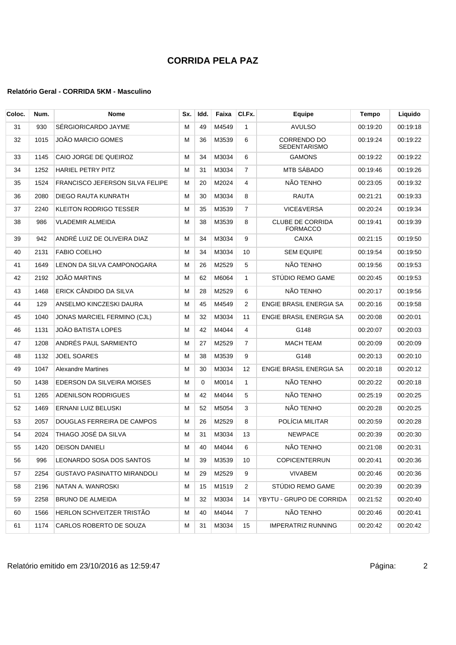| Coloc. | Num. | <b>Nome</b>                            | Sx. | Idd.     | Faixa | CI.Fx.         | <b>Equipe</b>                              | Tempo    | Liquido  |
|--------|------|----------------------------------------|-----|----------|-------|----------------|--------------------------------------------|----------|----------|
| 31     | 930  | SÉRGIORICARDO JAYME                    | м   | 49       | M4549 | $\mathbf{1}$   | <b>AVULSO</b>                              | 00:19:20 | 00:19:18 |
| 32     | 1015 | JOÃO MARCIO GOMES                      | м   | 36       | M3539 | 6              | CORRENDO DO<br>SEDENTARISMO                | 00:19:24 | 00:19:22 |
| 33     | 1145 | CAIO JORGE DE QUEIROZ                  | М   | 34       | M3034 | 6              | <b>GAMONS</b>                              | 00:19:22 | 00:19:22 |
| 34     | 1252 | <b>HARIEL PETRY PITZ</b>               | м   | 31       | M3034 | 7              | MTB SÁBADO                                 | 00:19:46 | 00:19:26 |
| 35     | 1524 | <b>FRANCISCO JEFERSON SILVA FELIPE</b> | м   | 20       | M2024 | 4              | NÃO TENHO                                  | 00:23:05 | 00:19:32 |
| 36     | 2080 | DIEGO RAUTA KUNRATH                    | м   | 30       | M3034 | 8              | <b>RAUTA</b>                               | 00:21:21 | 00:19:33 |
| 37     | 2240 | KLEITON RODRIGO TESSER                 | М   | 35       | M3539 | $\overline{7}$ | VICE&VERSA                                 | 00:20:24 | 00:19:34 |
| 38     | 986  | VLADEMIR ALMEIDA                       | м   | 38       | M3539 | 8              | <b>CLUBE DE CORRIDA</b><br><b>FORMACCO</b> | 00:19:41 | 00:19:39 |
| 39     | 942  | ANDRÉ LUIZ DE OLIVEIRA DIAZ            | M   | 34       | M3034 | 9              | CAIXA                                      | 00:21:15 | 00:19:50 |
| 40     | 2131 | <b>FABIO COELHO</b>                    | м   | 34       | M3034 | 10             | <b>SEM EQUIPE</b>                          | 00:19:54 | 00:19:50 |
| 41     | 1649 | LENON DA SILVA CAMPONOGARA             | м   | 26       | M2529 | 5              | NÃO TENHO                                  | 00:19:56 | 00:19:53 |
| 42     | 2192 | <b>JOÃO MARTINS</b>                    | М   | 62       | M6064 | $\mathbf{1}$   | STÚDIO REMO GAME                           | 00:20:45 | 00:19:53 |
| 43     | 1468 | ERICK CÂNDIDO DA SILVA                 | М   | 28       | M2529 | 6              | NÃO TENHO                                  | 00:20:17 | 00:19:56 |
| 44     | 129  | ANSELMO KINCZESKI DAURA                | М   | 45       | M4549 | 2              | ENGIE BRASIL ENERGIA SA                    | 00:20:16 | 00:19:58 |
| 45     | 1040 | JONAS MARCIEL FERMINO (CJL)            | м   | 32       | M3034 | 11             | ENGIE BRASIL ENERGIA SA                    | 00:20:08 | 00:20:01 |
| 46     | 1131 | JOÃO BATISTA LOPES                     | М   | 42       | M4044 | 4              | G148                                       | 00:20:07 | 00:20:03 |
| 47     | 1208 | ANDRÉS PAUL SARMIENTO                  | м   | 27       | M2529 | $\overline{7}$ | <b>MACH TEAM</b>                           | 00:20:09 | 00:20:09 |
| 48     | 1132 | <b>JOEL SOARES</b>                     | М   | 38       | M3539 | 9              | G148                                       | 00:20:13 | 00:20:10 |
| 49     | 1047 | <b>Alexandre Martines</b>              | м   | 30       | M3034 | 12             | ENGIE BRASIL ENERGIA SA                    | 00:20:18 | 00:20:12 |
| 50     | 1438 | EDERSON DA SILVEIRA MOISES             | М   | $\Omega$ | M0014 | $\mathbf{1}$   | NÃO TENHO                                  | 00:20:22 | 00:20:18 |
| 51     | 1265 | <b>ADENILSON RODRIGUES</b>             | м   | 42       | M4044 | 5              | NÃO TENHO                                  | 00:25:19 | 00:20:25 |
| 52     | 1469 | ERNANI LUIZ BELUSKI                    | м   | 52       | M5054 | 3              | NÃO TENHO                                  | 00:20:28 | 00:20:25 |
| 53     | 2057 | DOUGLAS FERREIRA DE CAMPOS             | м   | 26       | M2529 | 8              | POLÍCIA MILITAR                            | 00:20:59 | 00:20:28 |
| 54     | 2024 | THIAGO JOSÉ DA SILVA                   | м   | 31       | M3034 | 13             | <b>NEWPACE</b>                             | 00:20:39 | 00:20:30 |
| 55     | 1420 | <b>DEISON DANIELI</b>                  | м   | 40       | M4044 | 6              | NÃO TENHO                                  | 00:21:08 | 00:20:31 |
| 56     | 996  | LEONARDO SOSA DOS SANTOS               | м   | 39       | M3539 | 10             | <b>COPICENTERRUN</b>                       | 00:20:41 | 00:20:36 |
| 57     | 2254 | <b>GUSTAVO PASINATTO MIRANDOLI</b>     | M   | 29       | M2529 | 9              | <b>VIVABEM</b>                             | 00:20:46 | 00:20:36 |
| 58     | 2196 | NATAN A. WANROSKI                      | м   | 15       | M1519 | 2              | STÚDIO REMO GAME                           | 00:20:39 | 00:20:39 |
| 59     | 2258 | <b>BRUNO DE ALMEIDA</b>                | M   | 32       | M3034 | 14             | YBYTU - GRUPO DE CORRIDA                   | 00:21:52 | 00:20:40 |
| 60     | 1566 | HERLON SCHVEITZER TRISTÃO              | м   | 40       | M4044 | $\overline{7}$ | NÃO TENHO                                  | 00:20:46 | 00:20:41 |
| 61     | 1174 | CARLOS ROBERTO DE SOUZA                | M   | 31       | M3034 | 15             | <b>IMPERATRIZ RUNNING</b>                  | 00:20:42 | 00:20:42 |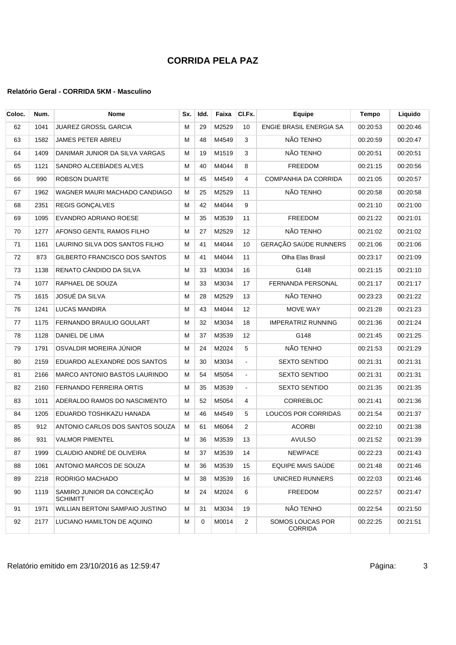| Coloc. | Num. | Nome                                          | Sx. | Idd. | Faixa | CI.Fx.         | Equipe                             | <b>Tempo</b> | Liquido  |
|--------|------|-----------------------------------------------|-----|------|-------|----------------|------------------------------------|--------------|----------|
| 62     | 1041 | JUAREZ GROSSL GARCIA                          | М   | 29   | M2529 | 10             | ENGIE BRASIL ENERGIA SA            | 00:20:53     | 00:20:46 |
| 63     | 1582 | JAMES PETER ABREU                             | м   | 48   | M4549 | 3              | NÃO TENHO                          | 00:20:59     | 00:20:47 |
| 64     | 1409 | DANIMAR JUNIOR DA SILVA VARGAS                | м   | 19   | M1519 | 3              | NÃO TENHO                          | 00:20:51     | 00:20:51 |
| 65     | 1121 | SANDRO ALCEBÍADES ALVES                       | М   | 40   | M4044 | 8              | <b>FREEDOM</b>                     | 00:21:15     | 00:20:56 |
| 66     | 990  | <b>ROBSON DUARTE</b>                          | М   | 45   | M4549 | 4              | <b>COMPANHIA DA CORRIDA</b>        | 00:21:05     | 00:20:57 |
| 67     | 1962 | WAGNER MAURI MACHADO CANDIAGO                 | М   | 25   | M2529 | 11             | NÃO TENHO                          | 00:20:58     | 00:20:58 |
| 68     | 2351 | REGIS GONÇALVES                               | м   | 42   | M4044 | 9              |                                    | 00:21:10     | 00:21:00 |
| 69     | 1095 | EVANDRO ADRIANO ROESE                         | М   | 35   | M3539 | 11             | <b>FREEDOM</b>                     | 00:21:22     | 00:21:01 |
| 70     | 1277 | AFONSO GENTIL RAMOS FILHO                     | м   | 27   | M2529 | 12             | NÃO TENHO                          | 00:21:02     | 00:21:02 |
| 71     | 1161 | LAURINO SILVA DOS SANTOS FILHO                | м   | 41   | M4044 | 10             | GERAÇÃO SAÚDE RUNNERS              | 00:21:06     | 00:21:06 |
| 72     | 873  | GILBERTO FRANCISCO DOS SANTOS                 | М   | 41   | M4044 | 11             | Olha Elas Brasil                   | 00:23:17     | 00:21:09 |
| 73     | 1138 | RENATO CÂNDIDO DA SILVA                       | М   | 33   | M3034 | 16             | G148                               | 00:21:15     | 00:21:10 |
| 74     | 1077 | RAPHAEL DE SOUZA                              | М   | 33   | M3034 | 17             | FERNANDA PERSONAL                  | 00:21:17     | 00:21:17 |
| 75     | 1615 | JOSUÉ DA SILVA                                | М   | 28   | M2529 | 13             | NÃO TENHO                          | 00:23:23     | 00:21:22 |
| 76     | 1241 | <b>LUCAS MANDIRA</b>                          | М   | 43   | M4044 | 12             | MOVE WAY                           | 00:21:28     | 00:21:23 |
| 77     | 1175 | FERNANDO BRAULIO GOULART                      | М   | 32   | M3034 | 18             | <b>IMPERATRIZ RUNNING</b>          | 00:21:36     | 00:21:24 |
| 78     | 1128 | DANIEL DE LIMA                                | М   | 37   | M3539 | 12             | G148                               | 00:21:45     | 00:21:25 |
| 79     | 1791 | OSVALDIR MOREIRA JÚNIOR                       | М   | 24   | M2024 | 5              | NÃO TENHO                          | 00:21:53     | 00:21:29 |
| 80     | 2159 | EDUARDO ALEXANDRE DOS SANTOS                  | м   | 30   | M3034 | $\blacksquare$ | <b>SEXTO SENTIDO</b>               | 00:21:31     | 00:21:31 |
| 81     | 2166 | MARCO ANTONIO BASTOS LAURINDO                 | М   | 54   | M5054 | $\blacksquare$ | <b>SEXTO SENTIDO</b>               | 00:21:31     | 00:21:31 |
| 82     | 2160 | FERNANDO FERREIRA ORTIS                       | м   | 35   | M3539 | $\blacksquare$ | <b>SEXTO SENTIDO</b>               | 00:21:35     | 00:21:35 |
| 83     | 1011 | ADERALDO RAMOS DO NASCIMENTO                  | М   | 52   | M5054 | 4              | CORREBLOC                          | 00:21:41     | 00:21:36 |
| 84     | 1205 | EDUARDO TOSHIKAZU HANADA                      | М   | 46   | M4549 | 5              | LOUCOS POR CORRIDAS                | 00:21:54     | 00:21:37 |
| 85     | 912  | ANTONIO CARLOS DOS SANTOS SOUZA               | м   | 61   | M6064 | 2              | <b>ACORBI</b>                      | 00:22:10     | 00:21:38 |
| 86     | 931  | <b>VALMOR PIMENTEL</b>                        | М   | 36   | M3539 | 13             | <b>AVULSO</b>                      | 00:21:52     | 00:21:39 |
| 87     | 1999 | CLAUDIO ANDRÉ DE OLIVEIRA                     | M   | 37   | M3539 | 14             | <b>NEWPACE</b>                     | 00:22:23     | 00:21:43 |
| 88     | 1061 | ANTONIO MARCOS DE SOUZA                       | м   | 36   | M3539 | 15             | EQUIPE MAIS SAÚDE                  | 00:21:48     | 00:21:46 |
| 89     | 2218 | RODRIGO MACHADO                               | м   | 38   | M3539 | 16             | UNICRED RUNNERS                    | 00:22:03     | 00:21:46 |
| 90     | 1119 | SAMIRO JUNIOR DA CONCEIÇÃO<br><b>SCHIMITT</b> | М   | 24   | M2024 | 6              | <b>FREEDOM</b>                     | 00:22:57     | 00:21:47 |
| 91     | 1971 | WILLIAN BERTONI SAMPAIO JUSTINO               | м   | 31   | M3034 | 19             | NÃO TENHO                          | 00:22:54     | 00:21:50 |
| 92     | 2177 | LUCIANO HAMILTON DE AQUINO                    | M   | 0    | M0014 | 2              | SOMOS LOUCAS POR<br><b>CORRIDA</b> | 00:22:25     | 00:21:51 |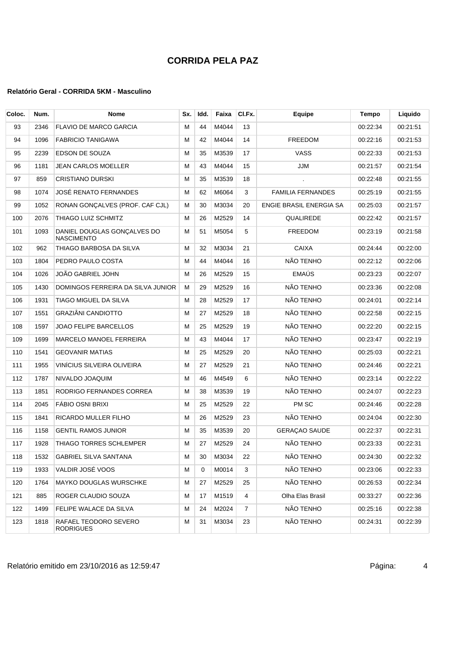| Coloc. | Num. | Nome                                      | Sx. | Idd. | Faixa | CI.Fx. | Equipe                   | Tempo    | Liquido  |
|--------|------|-------------------------------------------|-----|------|-------|--------|--------------------------|----------|----------|
| 93     | 2346 | <b>FLAVIO DE MARCO GARCIA</b>             | М   | 44   | M4044 | 13     |                          | 00:22:34 | 00:21:51 |
| 94     | 1096 | <b>FABRICIO TANIGAWA</b>                  | М   | 42   | M4044 | 14     | <b>FREEDOM</b>           | 00:22:16 | 00:21:53 |
| 95     | 2239 | EDSON DE SOUZA                            | М   | 35   | M3539 | 17     | VASS                     | 00:22:33 | 00:21:53 |
| 96     | 1181 | JEAN CARLOS MOELLER                       | M   | 43   | M4044 | 15     | JJM                      | 00:21:57 | 00:21:54 |
| 97     | 859  | <b>CRISTIANO DURSKI</b>                   | М   | 35   | M3539 | 18     |                          | 00:22:48 | 00:21:55 |
| 98     | 1074 | JOSÉ RENATO FERNANDES                     | М   | 62   | M6064 | 3      | <b>FAMILIA FERNANDES</b> | 00:25:19 | 00:21:55 |
| 99     | 1052 | RONAN GONCALVES (PROF. CAF CJL)           | м   | 30   | M3034 | 20     | ENGIE BRASIL ENERGIA SA  | 00:25:03 | 00:21:57 |
| 100    | 2076 | THIAGO LUIZ SCHMITZ                       | М   | 26   | M2529 | 14     | QUALIREDE                | 00:22:42 | 00:21:57 |
| 101    | 1093 | DANIEL DOUGLAS GONÇALVES DO<br>NASCIMENTO | M   | 51   | M5054 | 5      | <b>FREEDOM</b>           | 00:23:19 | 00:21:58 |
| 102    | 962  | THIAGO BARBOSA DA SILVA                   | M   | 32   | M3034 | 21     | <b>CAIXA</b>             | 00:24:44 | 00:22:00 |
| 103    | 1804 | PEDRO PAULO COSTA                         | М   | 44   | M4044 | 16     | NÃO TENHO                | 00:22:12 | 00:22:06 |
| 104    | 1026 | JOÃO GABRIEL JOHN                         | М   | 26   | M2529 | 15     | <b>EMAÚS</b>             | 00:23:23 | 00:22:07 |
| 105    | 1430 | DOMINGOS FERREIRA DA SILVA JUNIOR         | М   | 29   | M2529 | 16     | NÃO TENHO                | 00:23:36 | 00:22:08 |
| 106    | 1931 | TIAGO MIGUEL DA SILVA                     | М   | 28   | M2529 | 17     | NÃO TENHO                | 00:24:01 | 00:22:14 |
| 107    | 1551 | <b>GRAZIÂNI CANDIOTTO</b>                 | M   | 27   | M2529 | 18     | NÃO TENHO                | 00:22:58 | 00:22:15 |
| 108    | 1597 | JOAO FELIPE BARCELLOS                     | M   | 25   | M2529 | 19     | NÃO TENHO                | 00:22:20 | 00:22:15 |
| 109    | 1699 | MARCELO MANOEL FERREIRA                   | М   | 43   | M4044 | 17     | NÃO TENHO                | 00:23:47 | 00:22:19 |
| 110    | 1541 | <b>GEOVANIR MATIAS</b>                    | М   | 25   | M2529 | 20     | NÃO TENHO                | 00:25:03 | 00:22:21 |
| 111    | 1955 | VINÍCIUS SILVEIRA OLIVEIRA                | M   | 27   | M2529 | 21     | NÃO TENHO                | 00:24:46 | 00:22:21 |
| 112    | 1787 | NIVALDO JOAQUIM                           | М   | 46   | M4549 | 6      | NÃO TENHO                | 00:23:14 | 00:22:22 |
| 113    | 1851 | RODRIGO FERNANDES CORREA                  | M   | 38   | M3539 | 19     | NÃO TENHO                | 00:24:07 | 00:22:23 |
| 114    | 2045 | FÁBIO OSNI BRIXI                          | M   | 25   | M2529 | 22     | PM SC                    | 00:24:46 | 00:22:28 |
| 115    | 1841 | RICARDO MULLER FILHO                      | М   | 26   | M2529 | 23     | NÃO TENHO                | 00:24:04 | 00:22:30 |
| 116    | 1158 | <b>GENTIL RAMOS JUNIOR</b>                | М   | 35   | M3539 | 20     | <b>GERAÇAO SAUDE</b>     | 00:22:37 | 00:22:31 |
| 117    | 1928 | THIAGO TORRES SCHLEMPER                   | М   | 27   | M2529 | 24     | NÃO TENHO                | 00:23:33 | 00:22:31 |
| 118    | 1532 | <b>GABRIEL SILVA SANTANA</b>              | м   | 30   | M3034 | 22     | NÃO TENHO                | 00:24:30 | 00:22:32 |
| 119    | 1933 | VALDIR JOSÉ VOOS                          | М   | 0    | M0014 | 3      | NÃO TENHO                | 00:23:06 | 00:22:33 |
| 120    | 1764 | <b>MAYKO DOUGLAS WURSCHKE</b>             | м   | 27   | M2529 | 25     | NÃO TENHO                | 00:26:53 | 00:22:34 |
| 121    | 885  | ROGER CLAUDIO SOUZA                       | м   | 17   | M1519 | 4      | Olha Elas Brasil         | 00:33:27 | 00:22:36 |
| 122    | 1499 | FELIPE WALACE DA SILVA                    | М   | 24   | M2024 | 7      | NÃO TENHO                | 00:25:16 | 00:22:38 |
| 123    | 1818 | RAFAEL TEODORO SEVERO<br><b>RODRIGUES</b> | м   | 31   | M3034 | 23     | NÃO TENHO                | 00:24:31 | 00:22:39 |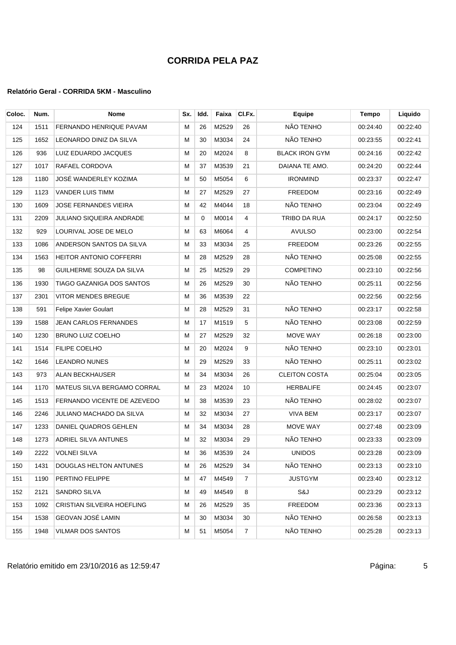| Coloc. | Num. | <b>Nome</b>                        | Sx. | Idd.     | Faixa | CI.Fx.         | Equipe                | Tempo    | Liquido  |
|--------|------|------------------------------------|-----|----------|-------|----------------|-----------------------|----------|----------|
| 124    | 1511 | FERNANDO HENRIQUE PAVAM            | М   | 26       | M2529 | 26             | NÃO TENHO             | 00:24:40 | 00:22:40 |
| 125    | 1652 | LEONARDO DINIZ DA SILVA            | м   | 30       | M3034 | 24             | NÃO TENHO             | 00:23:55 | 00:22:41 |
| 126    | 936  | LUIZ EDUARDO JACQUES               | М   | 20       | M2024 | 8              | <b>BLACK IRON GYM</b> | 00:24:16 | 00:22:42 |
| 127    | 1017 | RAFAEL CORDOVA                     | М   | 37       | M3539 | 21             | DAIANA TE AMO.        | 00:24:20 | 00:22:44 |
| 128    | 1180 | JOSÉ WANDERLEY KOZIMA              | М   | 50       | M5054 | 6              | <b>IRONMIND</b>       | 00:23:37 | 00:22:47 |
| 129    | 1123 | <b>VANDER LUIS TIMM</b>            | М   | 27       | M2529 | 27             | <b>FREEDOM</b>        | 00:23:16 | 00:22:49 |
| 130    | 1609 | JOSE FERNANDES VIEIRA              | М   | 42       | M4044 | 18             | NÃO TENHO             | 00:23:04 | 00:22:49 |
| 131    | 2209 | JULIANO SIQUEIRA ANDRADE           | М   | $\Omega$ | M0014 | 4              | <b>TRIBO DA RUA</b>   | 00:24:17 | 00:22:50 |
| 132    | 929  | LOURIVAL JOSE DE MELO              | М   | 63       | M6064 | 4              | <b>AVULSO</b>         | 00:23:00 | 00:22:54 |
| 133    | 1086 | ANDERSON SANTOS DA SILVA           | М   | 33       | M3034 | 25             | <b>FREEDOM</b>        | 00:23:26 | 00:22:55 |
| 134    | 1563 | <b>HEITOR ANTONIO COFFERRI</b>     | М   | 28       | M2529 | 28             | NÃO TENHO             | 00:25:08 | 00:22:55 |
| 135    | 98   | GUILHERME SOUZA DA SILVA           | М   | 25       | M2529 | 29             | <b>COMPETINO</b>      | 00:23:10 | 00:22:56 |
| 136    | 1930 | TIAGO GAZANIGA DOS SANTOS          | М   | 26       | M2529 | 30             | NÃO TENHO             | 00:25:11 | 00:22:56 |
| 137    | 2301 | <b>VITOR MENDES BREGUE</b>         | м   | 36       | M3539 | 22             |                       | 00:22:56 | 00:22:56 |
| 138    | 591  | Felipe Xavier Goulart              | М   | 28       | M2529 | 31             | NÃO TENHO             | 00:23:17 | 00:22:58 |
| 139    | 1588 | <b>JEAN CARLOS FERNANDES</b>       | м   | 17       | M1519 | 5              | NÃO TENHO             | 00:23:08 | 00:22:59 |
| 140    | 1230 | <b>BRUNO LUIZ COELHO</b>           | М   | 27       | M2529 | 32             | MOVE WAY              | 00:26:18 | 00:23:00 |
| 141    | 1514 | FILIPE COELHO                      | M   | 20       | M2024 | 9              | NÃO TENHO             | 00:23:10 | 00:23:01 |
| 142    | 1646 | <b>LEANDRO NUNES</b>               | м   | 29       | M2529 | 33             | NÃO TENHO             | 00:25:11 | 00:23:02 |
| 143    | 973  | <b>ALAN BECKHAUSER</b>             | М   | 34       | M3034 | 26             | <b>CLEITON COSTA</b>  | 00:25:04 | 00:23:05 |
| 144    | 1170 | <b>MATEUS SILVA BERGAMO CORRAL</b> | М   | 23       | M2024 | 10             | <b>HERBALIFE</b>      | 00:24:45 | 00:23:07 |
| 145    | 1513 | FERNANDO VICENTE DE AZEVEDO        | М   | 38       | M3539 | 23             | NÃO TENHO             | 00:28:02 | 00:23:07 |
| 146    | 2246 | JULIANO MACHADO DA SILVA           | М   | 32       | M3034 | 27             | VIVA BEM              | 00:23:17 | 00:23:07 |
| 147    | 1233 | DANIEL QUADROS GEHLEN              | М   | 34       | M3034 | 28             | MOVE WAY              | 00:27:48 | 00:23:09 |
| 148    | 1273 | ADRIEL SILVA ANTUNES               | М   | 32       | M3034 | 29             | NÃO TENHO             | 00:23:33 | 00:23:09 |
| 149    | 2222 | <b>VOLNEI SILVA</b>                | M   | 36       | M3539 | 24             | <b>UNIDOS</b>         | 00:23:28 | 00:23:09 |
| 150    | 1431 | DOUGLAS HELTON ANTUNES             | м   | 26       | M2529 | 34             | NÃO TENHO             | 00:23:13 | 00:23:10 |
| 151    | 1190 | PERTINO FELIPPE                    | м   | 47       | M4549 | $\overline{7}$ | <b>JUSTGYM</b>        | 00:23:40 | 00:23:12 |
| 152    | 2121 | SANDRO SILVA                       | M   | 49       | M4549 | 8              | S&J                   | 00:23:29 | 00:23:12 |
| 153    | 1092 | <b>CRISTIAN SILVEIRA HOEFLING</b>  | M   | 26       | M2529 | 35             | FREEDOM               | 00:23:36 | 00:23:13 |
| 154    | 1538 | GEOVAN JOSÉ LAMIN                  | м   | 30       | M3034 | 30             | NÃO TENHO             | 00:26:58 | 00:23:13 |
| 155    | 1948 | <b>VILMAR DOS SANTOS</b>           | м   | 51       | M5054 | $\overline{7}$ | NÃO TENHO             | 00:25:28 | 00:23:13 |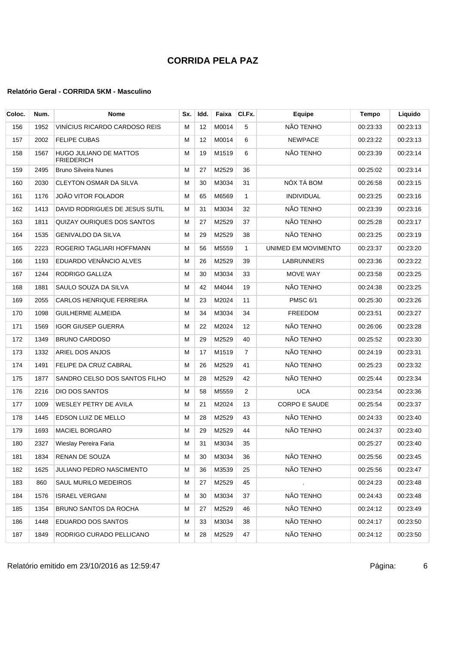| Coloc. | Num. | Nome                                               | Sx. | Idd. | Faixa | CI.Fx.         | Equipe               | <b>Tempo</b> | Liquido  |
|--------|------|----------------------------------------------------|-----|------|-------|----------------|----------------------|--------------|----------|
| 156    | 1952 | VINÍCIUS RICARDO CARDOSO REIS                      | м   | 12   | M0014 | 5              | NÃO TENHO            | 00:23:33     | 00:23:13 |
| 157    | 2002 | <b>FELIPE CUBAS</b>                                | м   | 12   | M0014 | 6              | <b>NEWPACE</b>       | 00:23:22     | 00:23:13 |
| 158    | 1567 | <b>HUGO JULIANO DE MATTOS</b><br><b>FRIEDERICH</b> | м   | 19   | M1519 | 6              | NÃO TENHO            | 00:23:39     | 00:23:14 |
| 159    | 2495 | <b>Bruno Silveira Nunes</b>                        | М   | 27   | M2529 | 36             |                      | 00:25:02     | 00:23:14 |
| 160    | 2030 | CLEYTON OSMAR DA SILVA                             | M   | 30   | M3034 | 31             | NÓX TÁ BOM           | 00:26:58     | 00:23:15 |
| 161    | 1176 | JOÃO VITOR FOLADOR                                 | м   | 65   | M6569 | $\mathbf{1}$   | <b>INDIVIDUAL</b>    | 00:23:25     | 00:23:16 |
| 162    | 1413 | DAVID RODRIGUES DE JESUS SUTIL                     | м   | 31   | M3034 | 32             | NÃO TENHO            | 00:23:39     | 00:23:16 |
| 163    | 1811 | QUIZAY OURIQUES DOS SANTOS                         | м   | 27   | M2529 | 37             | NÃO TENHO            | 00:25:28     | 00:23:17 |
| 164    | 1535 | <b>GENIVALDO DA SILVA</b>                          | м   | 29   | M2529 | 38             | NÃO TENHO            | 00:23:25     | 00:23:19 |
| 165    | 2223 | ROGERIO TAGLIARI HOFFMANN                          | М   | 56   | M5559 | $\mathbf{1}$   | UNIMED EM MOVIMENTO  | 00:23:37     | 00:23:20 |
| 166    | 1193 | EDUARDO VENÂNCIO ALVES                             | м   | 26   | M2529 | 39             | LABRUNNERS           | 00:23:36     | 00:23:22 |
| 167    | 1244 | RODRIGO GALLIZA                                    | M   | 30   | M3034 | 33             | MOVE WAY             | 00:23:58     | 00:23:25 |
| 168    | 1881 | SAULO SOUZA DA SILVA                               | м   | 42   | M4044 | 19             | NÃO TENHO            | 00:24:38     | 00:23:25 |
| 169    | 2055 | <b>CARLOS HENRIQUE FERREIRA</b>                    | м   | 23   | M2024 | 11             | <b>PMSC 6/1</b>      | 00:25:30     | 00:23:26 |
| 170    | 1098 | <b>GUILHERME ALMEIDA</b>                           | M   | 34   | M3034 | 34             | <b>FREEDOM</b>       | 00:23:51     | 00:23:27 |
| 171    | 1569 | <b>IGOR GIUSEP GUERRA</b>                          | M   | 22   | M2024 | 12             | NÃO TENHO            | 00:26:06     | 00:23:28 |
| 172    | 1349 | <b>BRUNO CARDOSO</b>                               | M   | 29   | M2529 | 40             | NÃO TENHO            | 00:25:52     | 00:23:30 |
| 173    | 1332 | ARIEL DOS ANJOS                                    | м   | 17   | M1519 | 7              | NÃO TENHO            | 00:24:19     | 00:23:31 |
| 174    | 1491 | FELIPE DA CRUZ CABRAL                              | м   | 26   | M2529 | 41             | NÃO TENHO            | 00:25:23     | 00:23:32 |
| 175    | 1877 | SANDRO CELSO DOS SANTOS FILHO                      | м   | 28   | M2529 | 42             | NÃO TENHO            | 00:25:44     | 00:23:34 |
| 176    | 2216 | DIO DOS SANTOS                                     | M   | 58   | M5559 | $\overline{2}$ | <b>UCA</b>           | 00:23:54     | 00:23:36 |
| 177    | 1009 | WESLEY PETRY DE AVILA                              | М   | 21   | M2024 | 13             | <b>CORPO E SAUDE</b> | 00:25:54     | 00:23:37 |
| 178    | 1445 | EDSON LUIZ DE MELLO                                | м   | 28   | M2529 | 43             | NÃO TENHO            | 00:24:33     | 00:23:40 |
| 179    | 1693 | <b>MACIEL BORGARO</b>                              | M   | 29   | M2529 | 44             | NÃO TENHO            | 00:24:37     | 00:23:40 |
| 180    | 2327 | Wieslay Pereira Faria                              | М   | 31   | M3034 | 35             |                      | 00:25:27     | 00:23:40 |
| 181    | 1834 | RENAN DE SOUZA                                     | м   | 30   | M3034 | 36             | NÃO TENHO            | 00:25:56     | 00:23:45 |
| 182    | 1625 | JULIANO PEDRO NASCIMENTO                           | M   | 36   | M3539 | 25             | NÃO TENHO            | 00:25:56     | 00:23:47 |
| 183    | 860  | SAUL MURILO MEDEIROS                               | M   | 27   | M2529 | 45             | $\blacksquare$       | 00:24:23     | 00:23:48 |
| 184    | 1576 | <b>ISRAEL VERGANI</b>                              | M   | 30   | M3034 | 37             | NÃO TENHO            | 00:24:43     | 00:23:48 |
| 185    | 1354 | <b>BRUNO SANTOS DA ROCHA</b>                       | M   | 27   | M2529 | 46             | NÃO TENHO            | 00:24:12     | 00:23:49 |
| 186    | 1448 | EDUARDO DOS SANTOS                                 | м   | 33   | M3034 | 38             | NÃO TENHO            | 00:24:17     | 00:23:50 |
| 187    | 1849 | RODRIGO CURADO PELLICANO                           | м   | 28   | M2529 | 47             | NÃO TENHO            | 00:24:12     | 00:23:50 |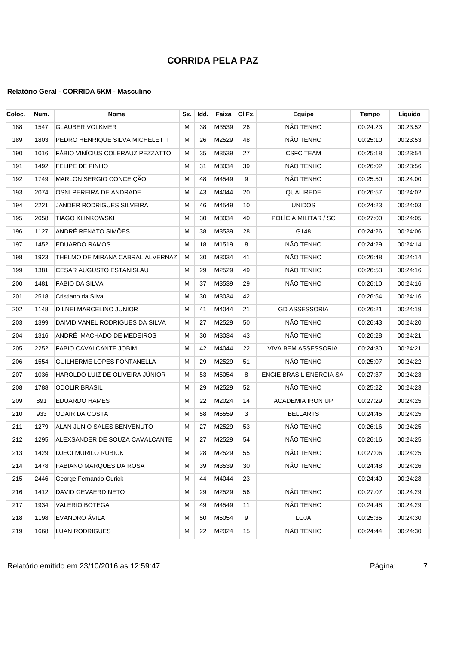| Coloc. | Num. | <b>Nome</b>                      | Sx. | Idd. | Faixa    | CI.Fx. | Equipe                  | Tempo    | Liquido  |
|--------|------|----------------------------------|-----|------|----------|--------|-------------------------|----------|----------|
| 188    | 1547 | <b>GLAUBER VOLKMER</b>           | м   | 38   | M3539    | 26     | NÃO TENHO               | 00:24:23 | 00:23:52 |
| 189    | 1803 | PEDRO HENRIQUE SILVA MICHELETTI  | м   | 26   | M2529    | 48     | NÃO TENHO               | 00:25:10 | 00:23:53 |
| 190    | 1016 | FÁBIO VINÍCIUS COLERAUZ PEZZATTO | М   | 35   | M3539    | 27     | <b>CSFC TEAM</b>        | 00:25:18 | 00:23:54 |
| 191    | 1492 | FELIPE DE PINHO                  | м   | 31   | M3034    | 39     | NÃO TENHO               | 00:26:02 | 00:23:56 |
| 192    | 1749 | MARLON SERGIO CONCEIÇÃO          | M   | 48   | M4549    | 9      | NÃO TENHO               | 00:25:50 | 00:24:00 |
| 193    | 2074 | OSNI PEREIRA DE ANDRADE          | м   | 43   | M4044    | 20     | QUALIREDE               | 00:26:57 | 00:24:02 |
| 194    | 2221 | JANDER RODRIGUES SILVEIRA        | м   | 46   | M4549    | 10     | <b>UNIDOS</b>           | 00:24:23 | 00:24:03 |
| 195    | 2058 | <b>TIAGO KLINKOWSKI</b>          | м   | 30   | M3034    | 40     | POLÍCIA MILITAR / SC    | 00:27:00 | 00:24:05 |
| 196    | 1127 | ANDRÉ RENATO SIMÕES              | М   | 38   | M3539    | 28     | G148                    | 00:24:26 | 00:24:06 |
| 197    | 1452 | <b>EDUARDO RAMOS</b>             | м   | 18   | M1519    | 8      | NÃO TENHO               | 00:24:29 | 00:24:14 |
| 198    | 1923 | THELMO DE MIRANA CABRAL ALVERNAZ | м   | 30   | M3034    | 41     | NÃO TENHO               | 00:26:48 | 00:24:14 |
| 199    | 1381 | <b>CESAR AUGUSTO ESTANISLAU</b>  | м   | 29   | M2529    | 49     | NÃO TENHO               | 00:26:53 | 00:24:16 |
| 200    | 1481 | <b>FABIO DA SILVA</b>            | М   | 37   | M3539    | 29     | NÃO TENHO               | 00:26:10 | 00:24:16 |
| 201    | 2518 | Cristiano da Silva               | М   | 30   | M3034    | 42     |                         | 00:26:54 | 00:24:16 |
| 202    | 1148 | <b>DILNEI MARCELINO JUNIOR</b>   | м   | 41   | M4044    | 21     | <b>GD ASSESSORIA</b>    | 00:26:21 | 00:24:19 |
| 203    | 1399 | DAIVID VANEL RODRIGUES DA SILVA  | М   | 27   | M2529    | 50     | NÃO TENHO               | 00:26:43 | 00:24:20 |
| 204    | 1316 | ANDRÉ MACHADO DE MEDEIROS        | м   | 30   | M3034    | 43     | NÃO TENHO               | 00:26:28 | 00:24:21 |
| 205    | 2252 | FABIO CAVALCANTE JOBIM           | м   | 42   | M4044    | 22     | VIVA BEM ASSESSORIA     | 00:24:30 | 00:24:21 |
| 206    | 1554 | GUILHERME LOPES FONTANELLA       | м   | 29   | M2529    | 51     | NÃO TENHO               | 00:25:07 | 00:24:22 |
| 207    | 1036 | HAROLDO LUIZ DE OLIVEIRA JÚNIOR  | М   | 53   | M5054    | 8      | ENGIE BRASIL ENERGIA SA | 00:27:37 | 00:24:23 |
| 208    | 1788 | <b>ODOLIR BRASIL</b>             | м   | 29   | M2529    | 52     | NÃO TENHO               | 00:25:22 | 00:24:23 |
| 209    | 891  | <b>EDUARDO HAMES</b>             | М   | 22   | M2024    | 14     | <b>ACADEMIA IRON UP</b> | 00:27:29 | 00:24:25 |
| 210    | 933  | <b>ODAIR DA COSTA</b>            | М   | 58   | M5559    | 3      | <b>BELLARTS</b>         | 00:24:45 | 00:24:25 |
| 211    | 1279 | ALAN JUNIO SALES BENVENUTO       | м   | 27   | M2529    | 53     | NÃO TENHO               | 00:26:16 | 00:24:25 |
| 212    | 1295 | ALEXSANDER DE SOUZA CAVALCANTE   | м   | 27   | M2529    | 54     | NÃO TENHO               | 00:26:16 | 00:24:25 |
| 213    |      | 1429   DJECI MURILO RUBICK       | M   |      | 28 M2529 | 55     | NÃO TENHO               | 00:27:06 | 00:24:25 |
| 214    | 1478 | FABIANO MARQUES DA ROSA          | м   | 39   | M3539    | 30     | NÃO TENHO               | 00:24:48 | 00:24:26 |
| 215    | 2446 | George Fernando Ourick           | M   | 44   | M4044    | 23     |                         | 00:24:40 | 00:24:28 |
| 216    | 1412 | DAVID GEVAERD NETO               | M   | 29   | M2529    | 56     | NÃO TENHO               | 00:27:07 | 00:24:29 |
| 217    | 1934 | VALERIO BOTEGA                   | м   | 49   | M4549    | 11     | NÃO TENHO               | 00:24:48 | 00:24:29 |
| 218    | 1198 | EVANDRO ÁVILA                    | M   | 50   | M5054    | 9      | LOJA                    | 00:25:35 | 00:24:30 |
| 219    | 1668 | <b>LUAN RODRIGUES</b>            | м   | 22   | M2024    | 15     | NÃO TENHO               | 00:24:44 | 00:24:30 |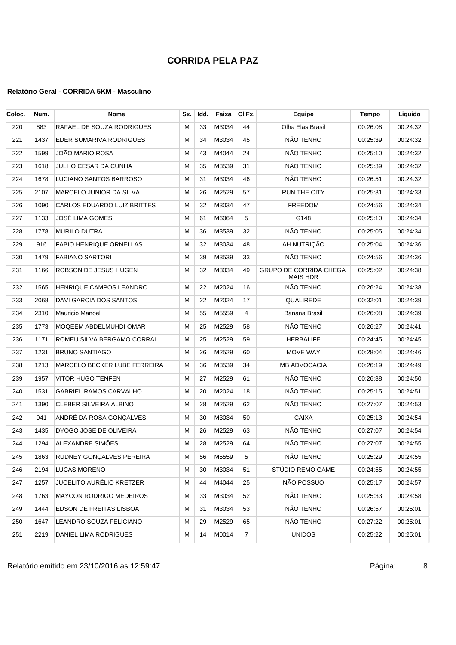### **Relatório Geral - CORRIDA 5KM - Masculino**

| Coloc. | Num. | Nome                           | Sx. | Idd. | Faixa | CI.Fx.         | Equipe                                           | Tempo    | Liquido  |
|--------|------|--------------------------------|-----|------|-------|----------------|--------------------------------------------------|----------|----------|
| 220    | 883  | RAFAEL DE SOUZA RODRIGUES      | м   | 33   | M3034 | 44             | Olha Elas Brasil                                 | 00:26:08 | 00:24:32 |
| 221    | 1437 | EDER SUMARIVA RODRIGUES        | м   | 34   | M3034 | 45             | NÃO TENHO                                        | 00:25:39 | 00:24:32 |
| 222    | 1599 | JOÃO MARIO ROSA                | м   | 43   | M4044 | 24             | NÃO TENHO                                        | 00:25:10 | 00:24:32 |
| 223    | 1618 | JULHO CESAR DA CUNHA           | М   | 35   | M3539 | 31             | NÃO TENHO                                        | 00:25:39 | 00:24:32 |
| 224    | 1678 | LUCIANO SANTOS BARROSO         | М   | 31   | M3034 | 46             | NÃO TENHO                                        | 00:26:51 | 00:24:32 |
| 225    | 2107 | MARCELO JUNIOR DA SILVA        | М   | 26   | M2529 | 57             | <b>RUN THE CITY</b>                              | 00:25:31 | 00:24:33 |
| 226    | 1090 | CARLOS EDUARDO LUIZ BRITTES    | М   | 32   | M3034 | 47             | <b>FREEDOM</b>                                   | 00:24:56 | 00:24:34 |
| 227    | 1133 | <b>JOSÉ LIMA GOMES</b>         | М   | 61   | M6064 | 5              | G148                                             | 00:25:10 | 00:24:34 |
| 228    | 1778 | <b>MURILO DUTRA</b>            | М   | 36   | M3539 | 32             | NÃO TENHO                                        | 00:25:05 | 00:24:34 |
| 229    | 916  | <b>FABIO HENRIQUE ORNELLAS</b> | М   | 32   | M3034 | 48             | AH NUTRIÇÃO                                      | 00:25:04 | 00:24:36 |
| 230    | 1479 | <b>FABIANO SARTORI</b>         | М   | 39   | M3539 | 33             | NÃO TENHO                                        | 00:24:56 | 00:24:36 |
| 231    | 1166 | ROBSON DE JESUS HUGEN          | М   | 32   | M3034 | 49             | <b>GRUPO DE CORRIDA CHEGA</b><br><b>MAIS HDR</b> | 00:25:02 | 00:24:38 |
| 232    | 1565 | <b>HENRIQUE CAMPOS LEANDRO</b> | М   | 22   | M2024 | 16             | NÃO TENHO                                        | 00:26:24 | 00:24:38 |
| 233    | 2068 | DAVI GARCIA DOS SANTOS         | м   | 22   | M2024 | 17             | QUALIREDE                                        | 00:32:01 | 00:24:39 |
| 234    | 2310 | Mauricio Manoel                | М   | 55   | M5559 | 4              | Banana Brasil                                    | 00:26:08 | 00:24:39 |
| 235    | 1773 | MOQEEM ABDELMUHDI OMAR         | М   | 25   | M2529 | 58             | NÃO TENHO                                        | 00:26:27 | 00:24:41 |
| 236    | 1171 | ROMEU SILVA BERGAMO CORRAL     | М   | 25   | M2529 | 59             | <b>HERBALIFE</b>                                 | 00:24:45 | 00:24:45 |
| 237    | 1231 | <b>BRUNO SANTIAGO</b>          | м   | 26   | M2529 | 60             | MOVE WAY                                         | 00:28:04 | 00:24:46 |
| 238    | 1213 | MARCELO BECKER LUBE FERREIRA   | М   | 36   | M3539 | 34             | <b>MB ADVOCACIA</b>                              | 00:26:19 | 00:24:49 |
| 239    | 1957 | <b>VITOR HUGO TENFEN</b>       | м   | 27   | M2529 | 61             | NÃO TENHO                                        | 00:26:38 | 00:24:50 |
| 240    | 1531 | <b>GABRIEL RAMOS CARVALHO</b>  | М   | 20   | M2024 | 18             | NÃO TENHO                                        | 00:25:15 | 00:24:51 |
| 241    | 1390 | CLEBER SILVEIRA ALBINO         | М   | 28   | M2529 | 62             | NÃO TENHO                                        | 00:27:07 | 00:24:53 |
| 242    | 941  | ANDRÉ DA ROSA GONÇALVES        | М   | 30   | M3034 | 50             | <b>CAIXA</b>                                     | 00:25:13 | 00:24:54 |
| 243    | 1435 | DYOGO JOSE DE OLIVEIRA         | М   | 26   | M2529 | 63             | NÃO TENHO                                        | 00:27:07 | 00:24:54 |
| 244    | 1294 | ALEXANDRE SIMÕES               | м   | 28   | M2529 | 64             | NÃO TENHO                                        | 00:27:07 | 00:24:55 |
| 245    | 1863 | RUDNEY GONCALVES PEREIRA       | М   | 56   | M5559 | 5              | NÃO TENHO                                        | 00:25:29 | 00:24:55 |
| 246    | 2194 | <b>LUCAS MORENO</b>            | М   | 30   | M3034 | 51             | STÚDIO REMO GAME                                 | 00:24:55 | 00:24:55 |
| 247    | 1257 | JUCELITO AURÉLIO KRETZER       | м   | 44   | M4044 | 25             | NÃO POSSUO                                       | 00:25:17 | 00:24:57 |
| 248    | 1763 | <b>MAYCON RODRIGO MEDEIROS</b> | M   | 33   | M3034 | 52             | NÃO TENHO                                        | 00:25:33 | 00:24:58 |
| 249    | 1444 | EDSON DE FREITAS LISBOA        | М   | 31   | M3034 | 53             | NÃO TENHO                                        | 00:26:57 | 00:25:01 |
| 250    | 1647 | LEANDRO SOUZA FELICIANO        | м   | 29   | M2529 | 65             | NÃO TENHO                                        | 00:27:22 | 00:25:01 |
| 251    | 2219 | DANIEL LIMA RODRIGUES          | Μ   | 14   | M0014 | $\overline{7}$ | <b>UNIDOS</b>                                    | 00:25:22 | 00:25:01 |

Relatório emitido em 23/10/2016 as 12:59:47 Página: 8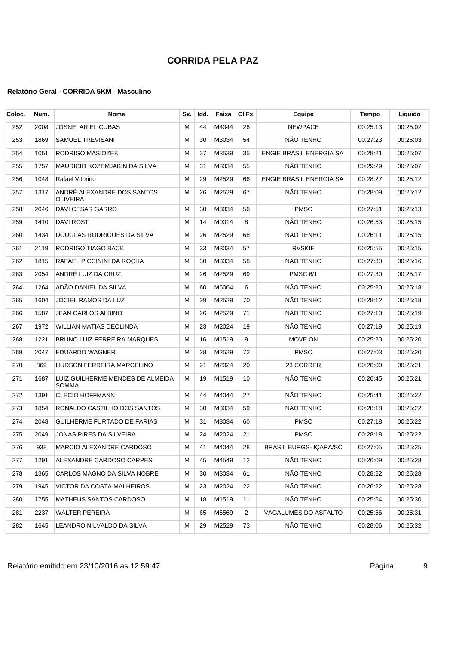| Coloc. | Num. | Nome                                             | Sx. | Idd. | Faixa | CI.Fx. | Equipe                         | Tempo    | Liquido  |
|--------|------|--------------------------------------------------|-----|------|-------|--------|--------------------------------|----------|----------|
| 252    | 2008 | <b>JOSNEI ARIEL CUBAS</b>                        | м   | 44   | M4044 | 26     | <b>NEWPACE</b>                 | 00:25:13 | 00:25:02 |
| 253    | 1869 | SAMUEL TREVISANI                                 | М   | 30   | M3034 | 54     | NÃO TENHO                      | 00:27:23 | 00:25:03 |
| 254    | 1051 | RODRIGO MASIOZEK                                 | M   | 37   | M3539 | 35     | <b>ENGIE BRASIL ENERGIA SA</b> | 00:28:21 | 00:25:07 |
| 255    | 1757 | MAURICIO KOZEMJAKIN DA SILVA                     | M   | 31   | M3034 | 55     | NÃO TENHO                      | 00:29:29 | 00:25:07 |
| 256    | 1048 | Rafael Vitorino                                  | M   | 29   | M2529 | 66     | ENGIE BRASIL ENERGIA SA        | 00:28:27 | 00:25:12 |
| 257    | 1317 | ANDRÉ ALEXANDRE DOS SANTOS<br>OLIVEIRA           | M   | 26   | M2529 | 67     | NÃO TENHO                      | 00:28:09 | 00:25:12 |
| 258    | 2046 | DAVI CESAR GARRO                                 | M   | 30   | M3034 | 56     | <b>PMSC</b>                    | 00:27:51 | 00:25:13 |
| 259    | 1410 | DAVI ROST                                        | M   | 14   | M0014 | 8      | NÃO TENHO                      | 00:26:53 | 00:25:15 |
| 260    | 1434 | DOUGLAS RODRIGUES DA SILVA                       | M   | 26   | M2529 | 68     | NÃO TENHO                      | 00:26:11 | 00:25:15 |
| 261    | 2119 | RODRIGO TIAGO BACK                               | M   | 33   | M3034 | 57     | <b>RVSKIE</b>                  | 00:25:55 | 00:25:15 |
| 262    | 1815 | RAFAEL PICCININI DA ROCHA                        | М   | 30   | M3034 | 58     | NÃO TENHO                      | 00:27:30 | 00:25:16 |
| 263    | 2054 | ANDRÉ LUIZ DA CRUZ                               | м   | 26   | M2529 | 69     | <b>PMSC 6/1</b>                | 00:27:30 | 00:25:17 |
| 264    | 1264 | ADÃO DANIEL DA SILVA                             | M   | 60   | M6064 | 6      | NÃO TENHO                      | 00:25:20 | 00:25:18 |
| 265    | 1604 | <b>JOCIEL RAMOS DA LUZ</b>                       | M   | 29   | M2529 | 70     | NÃO TENHO                      | 00:28:12 | 00:25:18 |
| 266    | 1587 | JEAN CARLOS ALBINO                               | M   | 26   | M2529 | 71     | NÃO TENHO                      | 00:27:10 | 00:25:19 |
| 267    | 1972 | <b>WILLIAN MATIAS DEOLINDA</b>                   | M   | 23   | M2024 | 19     | NÃO TENHO                      | 00:27:19 | 00:25:19 |
| 268    | 1221 | BRUNO LUIZ FERREIRA MARQUES                      | M   | 16   | M1519 | 9      | MOVE ON                        | 00:25:20 | 00:25:20 |
| 269    | 2047 | <b>EDUARDO WAGNER</b>                            | м   | 28   | M2529 | 72     | <b>PMSC</b>                    | 00:27:03 | 00:25:20 |
| 270    | 869  | HUDSON FERREIRA MARCELINO                        | М   | 21   | M2024 | 20     | 23 CORRER                      | 00:26:00 | 00:25:21 |
| 271    | 1687 | LUIZ GUILHERME MENDES DE ALMEIDA<br><b>SOMMA</b> | М   | 19   | M1519 | 10     | NÃO TENHO                      | 00:26:45 | 00:25:21 |
| 272    | 1391 | <b>CLECIO HOFFMANN</b>                           | М   | 44   | M4044 | 27     | NÃO TENHO                      | 00:25:41 | 00:25:22 |
| 273    | 1854 | RONALDO CASTILHO DOS SANTOS                      | М   | 30   | M3034 | 59     | NÃO TENHO                      | 00:28:18 | 00:25:22 |
| 274    | 2048 | GUILHERME FURTADO DE FARIAS                      | М   | 31   | M3034 | 60     | <b>PMSC</b>                    | 00:27:18 | 00:25:22 |
| 275    | 2049 | <b>JONAS PIRES DA SILVEIRA</b>                   | М   | 24   | M2024 | 21     | <b>PMSC</b>                    | 00:28:18 | 00:25:22 |
| 276    | 938  | MARCIO ALEXANDRE CARDOSO                         | M   | 41   | M4044 | 28     | <b>BRASIL BURGS-ICARA/SC</b>   | 00:27:05 | 00:25:25 |
| 277    | 1291 | ALEXANDRE CARDOSO CARPES                         | м   | 45   | M4549 | 12     | NÃO TENHO                      | 00:26:09 | 00:25:28 |
| 278    | 1365 | CARLOS MAGNO DA SILVA NOBRE                      | M   | 30   | M3034 | 61     | NÃO TENHO                      | 00:28:22 | 00:25:28 |
| 279    | 1945 | VICTOR DA COSTA MALHEIROS                        | м   | 23   | M2024 | 22     | NÃO TENHO                      | 00:26:22 | 00:25:28 |
| 280    | 1755 | MATHEUS SANTOS CARDOSO                           | M   | 18   | M1519 | 11     | NÃO TENHO                      | 00:25:54 | 00:25:30 |
| 281    | 2237 | <b>WALTER PEREIRA</b>                            | M   | 65   | M6569 | 2      | VAGALUMES DO ASFALTO           | 00:25:56 | 00:25:31 |
| 282    | 1645 | LEANDRO NILVALDO DA SILVA                        | M   | 29   | M2529 | 73     | NÃO TENHO                      | 00:28:06 | 00:25:32 |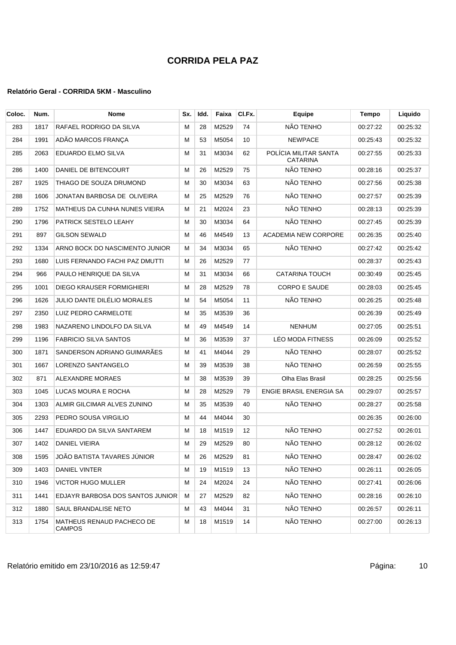| Coloc. | Num. | <b>Nome</b>                         | Sx. | Idd. | Faixa | CI.Fx. | Equipe                                   | Tempo    | Liquido  |
|--------|------|-------------------------------------|-----|------|-------|--------|------------------------------------------|----------|----------|
| 283    | 1817 | RAFAEL RODRIGO DA SILVA             | м   | 28   | M2529 | 74     | NÃO TENHO                                | 00:27:22 | 00:25:32 |
| 284    | 1991 | ADÃO MARCOS FRANCA                  | м   | 53   | M5054 | 10     | <b>NEWPACE</b>                           | 00:25:43 | 00:25:32 |
| 285    | 2063 | EDUARDO ELMO SILVA                  | м   | 31   | M3034 | 62     | POLÍCIA MILITAR SANTA<br><b>CATARINA</b> | 00:27:55 | 00:25:33 |
| 286    | 1400 | DANIEL DE BITENCOURT                | M   | 26   | M2529 | 75     | NÃO TENHO                                | 00:28:16 | 00:25:37 |
| 287    | 1925 | THIAGO DE SOUZA DRUMOND             | м   | 30   | M3034 | 63     | NÃO TENHO                                | 00:27:56 | 00:25:38 |
| 288    | 1606 | JONATAN BARBOSA DE OLIVEIRA         | м   | 25   | M2529 | 76     | NÃO TENHO                                | 00:27:57 | 00:25:39 |
| 289    | 1752 | MATHEUS DA CUNHA NUNES VIEIRA       | м   | 21   | M2024 | 23     | NÃO TENHO                                | 00:28:13 | 00:25:39 |
| 290    | 1796 | PATRICK SESTELO LEAHY               | м   | 30   | M3034 | 64     | NÃO TENHO                                | 00:27:45 | 00:25:39 |
| 291    | 897  | GILSON SEWALD                       | м   | 46   | M4549 | 13     | <b>ACADEMIA NEW CORPORE</b>              | 00:26:35 | 00:25:40 |
| 292    | 1334 | ARNO BOCK DO NASCIMENTO JUNIOR      | м   | 34   | M3034 | 65     | NÃO TENHO                                | 00:27:42 | 00:25:42 |
| 293    | 1680 | LUIS FERNANDO FACHI PAZ DMUTTI      | м   | 26   | M2529 | 77     |                                          | 00:28:37 | 00:25:43 |
| 294    | 966  | PAULO HENRIQUE DA SILVA             | м   | 31   | M3034 | 66     | <b>CATARINA TOUCH</b>                    | 00:30:49 | 00:25:45 |
| 295    | 1001 | DIEGO KRAUSER FORMIGHIERI           | м   | 28   | M2529 | 78     | <b>CORPO E SAUDE</b>                     | 00:28:03 | 00:25:45 |
| 296    | 1626 | JULIO DANTE DILÉLIO MORALES         | м   | 54   | M5054 | 11     | NÃO TENHO                                | 00:26:25 | 00:25:48 |
| 297    | 2350 | LUIZ PEDRO CARMELOTE                | М   | 35   | M3539 | 36     |                                          | 00:26:39 | 00:25:49 |
| 298    | 1983 | NAZARENO LINDOLFO DA SILVA          | м   | 49   | M4549 | 14     | <b>NENHUM</b>                            | 00:27:05 | 00:25:51 |
| 299    | 1196 | <b>FABRICIO SILVA SANTOS</b>        | м   | 36   | M3539 | 37     | LÉO MODA FITNESS                         | 00:26:09 | 00:25:52 |
| 300    | 1871 | SANDERSON ADRIANO GUIMARÃES         | М   | 41   | M4044 | 29     | NÃO TENHO                                | 00:28:07 | 00:25:52 |
| 301    | 1667 | LORENZO SANTANGELO                  | м   | 39   | M3539 | 38     | NÃO TENHO                                | 00:26:59 | 00:25:55 |
| 302    | 871  | <b>ALEXANDRE MORAES</b>             | M   | 38   | M3539 | 39     | Olha Elas Brasil                         | 00:28:25 | 00:25:56 |
| 303    | 1045 | LUCAS MOURA E ROCHA                 | М   | 28   | M2529 | 79     | ENGIE BRASIL ENERGIA SA                  | 00:29:07 | 00:25:57 |
| 304    | 1303 | ALMIR GILCIMAR ALVES ZUNINO         | M   | 35   | M3539 | 40     | NÃO TENHO                                | 00:28:27 | 00:25:58 |
| 305    | 2293 | PEDRO SOUSA VIRGILIO                | м   | 44   | M4044 | 30     |                                          | 00:26:35 | 00:26:00 |
| 306    | 1447 | EDUARDO DA SILVA SANTAREM           | M   | 18   | M1519 | 12     | NÃO TENHO                                | 00:27:52 | 00:26:01 |
| 307    | 1402 | DANIEL VIEIRA                       | м   | 29   | M2529 | 80     | NÃO TENHO                                | 00:28:12 | 00:26:02 |
| 308    | 1595 | JOÃO BATISTA TAVARES JÚNIOR         | м   | 26   | M2529 | 81     | NÃO TENHO                                | 00:28:47 | 00:26:02 |
| 309    | 1403 | DANIEL VINTER                       | м   | 19   | M1519 | 13     | NÃO TENHO                                | 00:26:11 | 00:26:05 |
| 310    | 1946 | VICTOR HUGO MULLER                  | м   | 24   | M2024 | 24     | NÃO TENHO                                | 00:27:41 | 00:26:06 |
| 311    | 1441 | EDJAYR BARBOSA DOS SANTOS JUNIOR    | м   | 27   | M2529 | 82     | NÃO TENHO                                | 00:28:16 | 00:26:10 |
| 312    | 1880 | SAUL BRANDALISE NETO                | м   | 43   | M4044 | 31     | NÃO TENHO                                | 00:26:57 | 00:26:11 |
| 313    | 1754 | MATHEUS RENAUD PACHECO DE<br>CAMPOS | м   | 18   | M1519 | 14     | NÃO TENHO                                | 00:27:00 | 00:26:13 |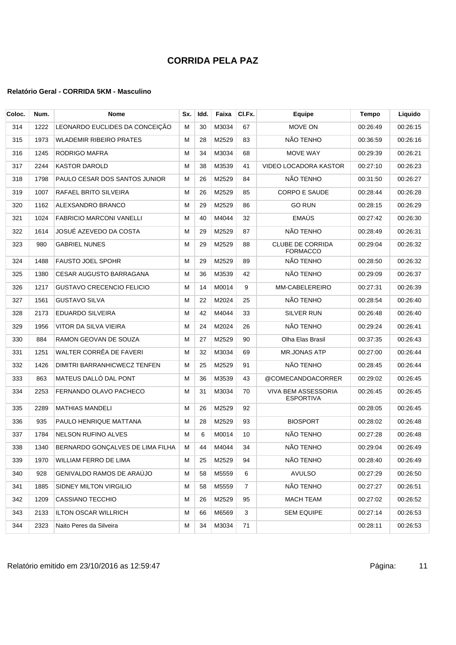| Coloc. | Num. | Nome                             | Sx. | Idd. | Faixa | CI.Fx.         | Equipe                                     | <b>Tempo</b> | Liquido  |
|--------|------|----------------------------------|-----|------|-------|----------------|--------------------------------------------|--------------|----------|
| 314    | 1222 | LEONARDO EUCLIDES DA CONCEIÇÃO   | м   | 30   | M3034 | 67             | MOVE ON                                    | 00:26:49     | 00:26:15 |
| 315    | 1973 | <b>WLADEMIR RIBEIRO PRATES</b>   | м   | 28   | M2529 | 83             | NÃO TENHO                                  | 00:36:59     | 00:26:16 |
| 316    | 1245 | RODRIGO MAFRA                    | м   | 34   | M3034 | 68             | MOVE WAY                                   | 00:29:39     | 00:26:21 |
| 317    | 2244 | <b>KASTOR DAROLD</b>             | М   | 38   | M3539 | 41             | VIDEO LOCADORA KASTOR                      | 00:27:10     | 00:26:23 |
| 318    | 1798 | PAULO CESAR DOS SANTOS JUNIOR    | М   | 26   | M2529 | 84             | NÃO TENHO                                  | 00:31:50     | 00:26:27 |
| 319    | 1007 | RAFAEL BRITO SILVEIRA            | м   | 26   | M2529 | 85             | <b>CORPO E SAUDE</b>                       | 00:28:44     | 00:26:28 |
| 320    | 1162 | <b>ALEXSANDRO BRANCO</b>         | м   | 29   | M2529 | 86             | <b>GO RUN</b>                              | 00:28:15     | 00:26:29 |
| 321    | 1024 | <b>FABRICIO MARCONI VANELLI</b>  | м   | 40   | M4044 | 32             | EMAÚS                                      | 00:27:42     | 00:26:30 |
| 322    | 1614 | JOSUÉ AZEVEDO DA COSTA           | м   | 29   | M2529 | 87             | NÃO TENHO                                  | 00:28:49     | 00:26:31 |
| 323    | 980  | <b>GABRIEL NUNES</b>             | м   | 29   | M2529 | 88             | <b>CLUBE DE CORRIDA</b><br><b>FORMACCO</b> | 00:29:04     | 00:26:32 |
| 324    | 1488 | <b>FAUSTO JOEL SPOHR</b>         | м   | 29   | M2529 | 89             | NÃO TENHO                                  | 00:28:50     | 00:26:32 |
| 325    | 1380 | <b>CESAR AUGUSTO BARRAGANA</b>   | м   | 36   | M3539 | 42             | NÃO TENHO                                  | 00:29:09     | 00:26:37 |
| 326    | 1217 | <b>GUSTAVO CRECENCIO FELICIO</b> | м   | 14   | M0014 | 9              | MM-CABELEREIRO                             | 00:27:31     | 00:26:39 |
| 327    | 1561 | <b>GUSTAVO SILVA</b>             | M   | 22   | M2024 | 25             | NÃO TENHO                                  | 00:28:54     | 00:26:40 |
| 328    | 2173 | EDUARDO SILVEIRA                 | М   | 42   | M4044 | 33             | <b>SILVER RUN</b>                          | 00:26:48     | 00:26:40 |
| 329    | 1956 | VITOR DA SILVA VIEIRA            | м   | 24   | M2024 | 26             | NÃO TENHO                                  | 00:29:24     | 00:26:41 |
| 330    | 884  | RAMON GEOVAN DE SOUZA            | M   | 27   | M2529 | 90             | Olha Elas Brasil                           | 00:37:35     | 00:26:43 |
| 331    | 1251 | WALTER CORRÊA DE FAVERI          | м   | 32   | M3034 | 69             | <b>MR.JONAS ATP</b>                        | 00:27:00     | 00:26:44 |
| 332    | 1426 | DIMITRI BARRANHICWECZ TENFEN     | м   | 25   | M2529 | 91             | NÃO TENHO                                  | 00:28:45     | 00:26:44 |
| 333    | 863  | MATEUS DALLÓ DAL PONT            | М   | 36   | M3539 | 43             | @COMECANDOACORRER                          | 00:29:02     | 00:26:45 |
| 334    | 2253 | FERNANDO OLAVO PACHECO           | М   | 31   | M3034 | 70             | VIVA BEM ASSESSORIA<br><b>ESPORTIVA</b>    | 00:26:45     | 00:26:45 |
| 335    | 2289 | <b>MATHIAS MANDELI</b>           | M   | 26   | M2529 | 92             |                                            | 00:28:05     | 00:26:45 |
| 336    | 935  | PAULO HENRIQUE MATTANA           | м   | 28   | M2529 | 93             | <b>BIOSPORT</b>                            | 00:28:02     | 00:26:48 |
| 337    | 1784 | <b>NELSON RUFINO ALVES</b>       | м   | 6    | M0014 | 10             | NÃO TENHO                                  | 00:27:28     | 00:26:48 |
| 338    | 1340 | BERNARDO GONÇALVES DE LIMA FILHA | М   | 44   | M4044 | 34             | NÃO TENHO                                  | 00:29:04     | 00:26:49 |
| 339    | 1970 | WILLIAM FERRO DE LIMA            | м   | 25   | M2529 | 94             | NÃO TENHO                                  | 00:28:40     | 00:26:49 |
| 340    | 928  | GENIVALDO RAMOS DE ARAUJO        | М   | 58   | M5559 | 6              | <b>AVULSO</b>                              | 00:27:29     | 00:26:50 |
| 341    | 1885 | SIDNEY MILTON VIRGILIO           | М   | 58   | M5559 | $\overline{7}$ | NÃO TENHO                                  | 00:27:27     | 00:26:51 |
| 342    | 1209 | <b>CASSIANO TECCHIO</b>          | М   | 26   | M2529 | 95             | <b>MACH TEAM</b>                           | 00:27:02     | 00:26:52 |
| 343    | 2133 | <b>ILTON OSCAR WILLRICH</b>      | М   | 66   | M6569 | 3              | <b>SEM EQUIPE</b>                          | 00:27:14     | 00:26:53 |
| 344    | 2323 | Naito Peres da Silveira          | м   | 34   | M3034 | 71             |                                            | 00:28:11     | 00:26:53 |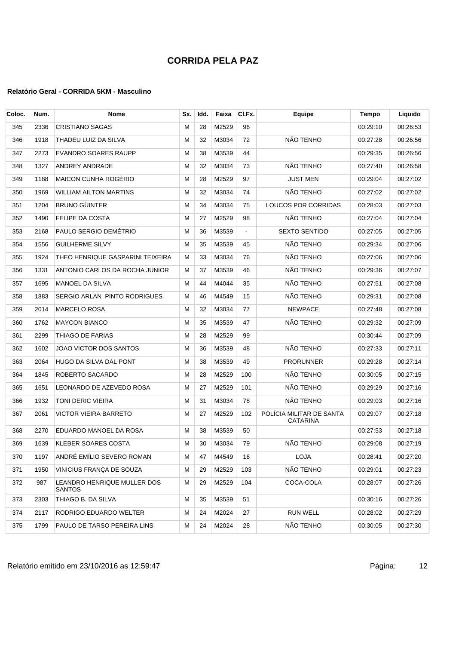| Coloc. | Num. | Nome                                  | Sx. | Idd. | Faixa | CI.Fx.         | Equipe                                      | Tempo    | Liquido  |
|--------|------|---------------------------------------|-----|------|-------|----------------|---------------------------------------------|----------|----------|
| 345    | 2336 | <b>CRISTIANO SAGAS</b>                | м   | 28   | M2529 | 96             |                                             | 00:29:10 | 00:26:53 |
| 346    | 1918 | THADEU LUIZ DA SILVA                  | м   | 32   | M3034 | 72             | NÃO TENHO                                   | 00:27:28 | 00:26:56 |
| 347    | 2273 | <b>EVANDRO SOARES RAUPP</b>           | M   | 38   | M3539 | 44             |                                             | 00:29:35 | 00:26:56 |
| 348    | 1327 | ANDREY ANDRADE                        | M   | 32   | M3034 | 73             | NÃO TENHO                                   | 00:27:40 | 00:26:58 |
| 349    | 1188 | <b>MAICON CUNHA ROGÉRIO</b>           | м   | 28   | M2529 | 97             | <b>JUST MEN</b>                             | 00:29:04 | 00:27:02 |
| 350    | 1969 | WILLIAM AILTON MARTINS                | м   | 32   | M3034 | 74             | NÃO TENHO                                   | 00:27:02 | 00:27:02 |
| 351    | 1204 | <b>BRUNO GÜINTER</b>                  | м   | 34   | M3034 | 75             | <b>LOUCOS POR CORRIDAS</b>                  | 00:28:03 | 00:27:03 |
| 352    | 1490 | FELIPE DA COSTA                       | M   | 27   | M2529 | 98             | NÃO TENHO                                   | 00:27:04 | 00:27:04 |
| 353    | 2168 | PAULO SERGIO DEMÉTRIO                 | М   | 36   | M3539 | $\blacksquare$ | <b>SEXTO SENTIDO</b>                        | 00:27:05 | 00:27:05 |
| 354    | 1556 | <b>GUILHERME SILVY</b>                | M   | 35   | M3539 | 45             | NÃO TENHO                                   | 00:29:34 | 00:27:06 |
| 355    | 1924 | THEO HENRIQUE GASPARINI TEIXEIRA      | M   | 33   | M3034 | 76             | NÃO TENHO                                   | 00:27:06 | 00:27:06 |
| 356    | 1331 | ANTONIO CARLOS DA ROCHA JUNIOR        | м   | 37   | M3539 | 46             | NÃO TENHO                                   | 00:29:36 | 00:27:07 |
| 357    | 1695 | <b>MANOEL DA SILVA</b>                | м   | 44   | M4044 | 35             | NÃO TENHO                                   | 00:27:51 | 00:27:08 |
| 358    | 1883 | SERGIO ARLAN PINTO RODRIGUES          | м   | 46   | M4549 | 15             | NÃO TENHO                                   | 00:29:31 | 00:27:08 |
| 359    | 2014 | <b>MARCELO ROSA</b>                   | M   | 32   | M3034 | 77             | <b>NEWPACE</b>                              | 00:27:48 | 00:27:08 |
| 360    | 1762 | <b>MAYCON BIANCO</b>                  | М   | 35   | M3539 | 47             | NÃO TENHO                                   | 00:29:32 | 00:27:09 |
| 361    | 2299 | THIAGO DE FARIAS                      | M   | 28   | M2529 | 99             |                                             | 00:30:44 | 00:27:09 |
| 362    | 1602 | JOAO VICTOR DOS SANTOS                | м   | 36   | M3539 | 48             | NÃO TENHO                                   | 00:27:33 | 00:27:11 |
| 363    | 2064 | HUGO DA SILVA DAL PONT                | м   | 38   | M3539 | 49             | PRORUNNER                                   | 00:29:28 | 00:27:14 |
| 364    | 1845 | ROBERTO SACARDO                       | M   | 28   | M2529 | 100            | NÃO TENHO                                   | 00:30:05 | 00:27:15 |
| 365    | 1651 | LEONARDO DE AZEVEDO ROSA              | м   | 27   | M2529 | 101            | NÃO TENHO                                   | 00:29:29 | 00:27:16 |
| 366    | 1932 | TONI DERIC VIEIRA                     | M   | 31   | M3034 | 78             | NÃO TENHO                                   | 00:29:03 | 00:27:16 |
| 367    | 2061 | VICTOR VIEIRA BARRETO                 | м   | 27   | M2529 | 102            | POLÍCIA MILITAR DE SANTA<br><b>CATARINA</b> | 00:29:07 | 00:27:18 |
| 368    | 2270 | EDUARDO MANOEL DA ROSA                | м   | 38   | M3539 | 50             |                                             | 00:27:53 | 00:27:18 |
| 369    | 1639 | <b>KLEBER SOARES COSTA</b>            | М   | 30   | M3034 | 79             | NÃO TENHO                                   | 00:29:08 | 00:27:19 |
| 370    | 1197 | ANDRÉ EMÍLIO SEVERO ROMAN             | м   | 47   | M4549 | 16             | <b>LOJA</b>                                 | 00:28:41 | 00:27:20 |
| 371    | 1950 | VINICIUS FRANCA DE SOUZA              | М   | 29   | M2529 | 103            | NÃO TENHO                                   | 00:29:01 | 00:27:23 |
| 372    | 987  | LEANDRO HENRIQUE MULLER DOS<br>SANTOS | м   | 29   | M2529 | 104            | COCA-COLA                                   | 00:28:07 | 00:27:26 |
| 373    | 2303 | THIAGO B. DA SILVA                    | M   | 35   | M3539 | 51             |                                             | 00:30:16 | 00:27:26 |
| 374    | 2117 | RODRIGO EDUARDO WELTER                | м   | 24   | M2024 | 27             | <b>RUN WELL</b>                             | 00:28:02 | 00:27:29 |
| 375    | 1799 | PAULO DE TARSO PEREIRA LINS           | м   | 24   | M2024 | 28             | NÃO TENHO                                   | 00:30:05 | 00:27:30 |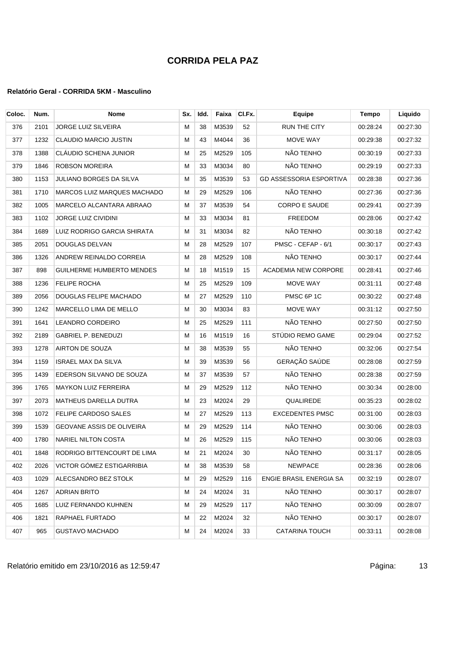| Coloc. | Num. | <b>Nome</b>                        | Sx.       | Idd. | Faixa    | CI.Fx. | <b>Equipe</b>                  | <b>Tempo</b> | Liquido  |
|--------|------|------------------------------------|-----------|------|----------|--------|--------------------------------|--------------|----------|
| 376    | 2101 | <b>JORGE LUIZ SILVEIRA</b>         | м         | 38   | M3539    | 52     | <b>RUN THE CITY</b>            | 00:28:24     | 00:27:30 |
| 377    | 1232 | CLAUDIO MARCIO JUSTIN              | м         | 43   | M4044    | 36     | MOVE WAY                       | 00:29:38     | 00:27:32 |
| 378    | 1388 | CLÁUDIO SCHENA JUNIOR              | м         | 25   | M2529    | 105    | NÃO TENHO                      | 00:30:19     | 00:27:33 |
| 379    | 1846 | <b>ROBSON MOREIRA</b>              | M         | 33   | M3034    | 80     | NÃO TENHO                      | 00:29:19     | 00:27:33 |
| 380    | 1153 | JULIANO BORGES DA SILVA            | M         | 35   | M3539    | 53     | <b>GD ASSESSORIA ESPORTIVA</b> | 00:28:38     | 00:27:36 |
| 381    | 1710 | <b>MARCOS LUIZ MARQUES MACHADO</b> | м         | 29   | M2529    | 106    | NÃO TENHO                      | 00:27:36     | 00:27:36 |
| 382    | 1005 | MARCELO ALCANTARA ABRAAO           | м         | 37   | M3539    | 54     | CORPO E SAUDE                  | 00:29:41     | 00:27:39 |
| 383    | 1102 | JORGE LUIZ CIVIDINI                | м         | 33   | M3034    | 81     | FREEDOM                        | 00:28:06     | 00:27:42 |
| 384    | 1689 | LUIZ RODRIGO GARCIA SHIRATA        | м         | 31   | M3034    | 82     | NÃO TENHO                      | 00:30:18     | 00:27:42 |
| 385    | 2051 | DOUGLAS DELVAN                     | M         | 28   | M2529    | 107    | PMSC - CEFAP - 6/1             | 00:30:17     | 00:27:43 |
| 386    | 1326 | ANDREW REINALDO CORREIA            | M         | 28   | M2529    | 108    | NÃO TENHO                      | 00:30:17     | 00:27:44 |
| 387    | 898  | <b>GUILHERME HUMBERTO MENDES</b>   | м         | 18   | M1519    | 15     | <b>ACADEMIA NEW CORPORE</b>    | 00:28:41     | 00:27:46 |
| 388    | 1236 | FELIPE ROCHA                       | M         | 25   | M2529    | 109    | MOVE WAY                       | 00:31:11     | 00:27:48 |
| 389    | 2056 | DOUGLAS FELIPE MACHADO             | M         | 27   | M2529    | 110    | PMSC 6P 1C                     | 00:30:22     | 00:27:48 |
| 390    | 1242 | MARCELLO LIMA DE MELLO             | м         | 30   | M3034    | 83     | MOVE WAY                       | 00:31:12     | 00:27:50 |
| 391    | 1641 | LEANDRO CORDEIRO                   | М         | 25   | M2529    | 111    | NÃO TENHO                      | 00:27:50     | 00:27:50 |
| 392    | 2189 | <b>GABRIEL P. BENEDUZI</b>         | м         | 16   | M1519    | 16     | STÚDIO REMO GAME               | 00:29:04     | 00:27:52 |
| 393    | 1278 | AIRTON DE SOUZA                    | м         | 38   | M3539    | 55     | NÃO TENHO                      | 00:32:06     | 00:27:54 |
| 394    | 1159 | <b>ISRAEL MAX DA SILVA</b>         | м         | 39   | M3539    | 56     | GERAÇÃO SAÚDE                  | 00:28:08     | 00:27:59 |
| 395    | 1439 | EDERSON SILVANO DE SOUZA           | м         | 37   | M3539    | 57     | NÃO TENHO                      | 00:28:38     | 00:27:59 |
| 396    | 1765 | <b>MAYKON LUIZ FERREIRA</b>        | м         | 29   | M2529    | 112    | NÃO TENHO                      | 00:30:34     | 00:28:00 |
| 397    | 2073 | <b>MATHEUS DARELLA DUTRA</b>       | M         | 23   | M2024    | 29     | QUALIREDE                      | 00:35:23     | 00:28:02 |
| 398    | 1072 | FELIPE CARDOSO SALES               | M         | 27   | M2529    | 113    | <b>EXCEDENTES PMSC</b>         | 00:31:00     | 00:28:03 |
| 399    | 1539 | GEOVANE ASSIS DE OLIVEIRA          | м         | 29   | M2529    | 114    | NÃO TENHO                      | 00:30:06     | 00:28:03 |
| 400    | 1780 | NARIEL NILTON COSTA                | м         | 26   | M2529    | 115    | NÃO TENHO                      | 00:30:06     | 00:28:03 |
| 401    |      | 1848 RODRIGO BITTENCOURT DE LIMA   | ${\sf M}$ |      | 21 M2024 | 30     | NÃO TENHO                      | 00:31:17     | 00:28:05 |
| 402    | 2026 | VICTOR GÓMEZ ESTIGARRIBIA          | м         | 38   | M3539    | 58     | <b>NEWPACE</b>                 | 00:28:36     | 00:28:06 |
| 403    | 1029 | ALECSANDRO BEZ STOLK               | М         | 29   | M2529    | 116    | ENGIE BRASIL ENERGIA SA        | 00:32:19     | 00:28:07 |
| 404    | 1267 | <b>ADRIAN BRITO</b>                | м         | 24   | M2024    | 31     | NÃO TENHO                      | 00:30:17     | 00:28:07 |
| 405    | 1685 | LUIZ FERNANDO KUHNEN               | м         | 29   | M2529    | 117    | NÃO TENHO                      | 00:30:09     | 00:28:07 |
| 406    | 1821 | RAPHAEL FURTADO                    | М         | 22   | M2024    | 32     | NÃO TENHO                      | 00:30:17     | 00:28:07 |
| 407    | 965  | <b>GUSTAVO MACHADO</b>             | м         | 24   | M2024    | 33     | <b>CATARINA TOUCH</b>          | 00:33:11     | 00:28:08 |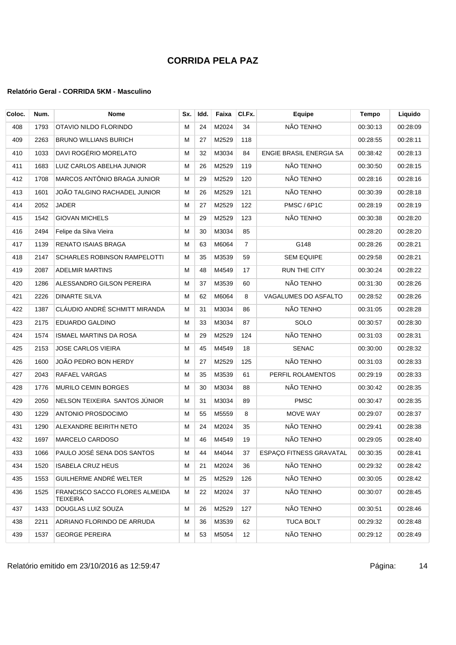| Coloc. | Num. | <b>Nome</b>                                       | Sx. | Idd. | Faixa | CI.Fx.         | <b>Equipe</b>           | Tempo    | Liquido  |
|--------|------|---------------------------------------------------|-----|------|-------|----------------|-------------------------|----------|----------|
| 408    | 1793 | OTAVIO NILDO FLORINDO                             | м   | 24   | M2024 | 34             | NÃO TENHO               | 00:30:13 | 00:28:09 |
| 409    | 2263 | <b>BRUNO WILLIANS BURICH</b>                      | м   | 27   | M2529 | 118            |                         | 00:28:55 | 00:28:11 |
| 410    | 1033 | DAVI ROGÉRIO MORELATO                             | М   | 32   | M3034 | 84             | ENGIE BRASIL ENERGIA SA | 00:38:42 | 00:28:13 |
| 411    | 1683 | LUIZ CARLOS ABELHA JUNIOR                         | м   | 26   | M2529 | 119            | NÃO TENHO               | 00:30:50 | 00:28:15 |
| 412    | 1708 | MARCOS ANTÔNIO BRAGA JUNIOR                       | м   | 29   | M2529 | 120            | NÃO TENHO               | 00:28:16 | 00:28:16 |
| 413    | 1601 | JOÃO TALGINO RACHADEL JUNIOR                      | М   | 26   | M2529 | 121            | NÃO TENHO               | 00:30:39 | 00:28:18 |
| 414    | 2052 | <b>JADER</b>                                      | м   | 27   | M2529 | 122            | PMSC / 6P1C             | 00:28:19 | 00:28:19 |
| 415    | 1542 | <b>GIOVAN MICHELS</b>                             | M   | 29   | M2529 | 123            | NÃO TENHO               | 00:30:38 | 00:28:20 |
| 416    | 2494 | Felipe da Silva Vieira                            | М   | 30   | M3034 | 85             |                         | 00:28:20 | 00:28:20 |
| 417    | 1139 | <b>RENATO ISAIAS BRAGA</b>                        | м   | 63   | M6064 | $\overline{7}$ | G148                    | 00:28:26 | 00:28:21 |
| 418    | 2147 | <b>SCHARLES ROBINSON RAMPELOTTI</b>               | M   | 35   | M3539 | 59             | <b>SEM EQUIPE</b>       | 00:29:58 | 00:28:21 |
| 419    | 2087 | <b>ADELMIR MARTINS</b>                            | м   | 48   | M4549 | 17             | <b>RUN THE CITY</b>     | 00:30:24 | 00:28:22 |
| 420    | 1286 | ALESSANDRO GILSON PEREIRA                         | м   | 37   | M3539 | 60             | NÃO TENHO               | 00:31:30 | 00:28:26 |
| 421    | 2226 | <b>DINARTE SILVA</b>                              | M   | 62   | M6064 | 8              | VAGALUMES DO ASFALTO    | 00:28:52 | 00:28:26 |
| 422    | 1387 | CLÁUDIO ANDRÉ SCHMITT MIRANDA                     | М   | 31   | M3034 | 86             | NÃO TENHO               | 00:31:05 | 00:28:28 |
| 423    | 2175 | EDUARDO GALDINO                                   | M   | 33   | M3034 | 87             | <b>SOLO</b>             | 00:30:57 | 00:28:30 |
| 424    | 1574 | ISMAEL MARTINS DA ROSA                            | M   | 29   | M2529 | 124            | NÃO TENHO               | 00:31:03 | 00:28:31 |
| 425    | 2153 | <b>JOSE CARLOS VIEIRA</b>                         | м   | 45   | M4549 | 18             | <b>SENAC</b>            | 00:30:00 | 00:28:32 |
| 426    | 1600 | JOÃO PEDRO BON HERDY                              | м   | 27   | M2529 | 125            | NÃO TENHO               | 00:31:03 | 00:28:33 |
| 427    | 2043 | RAFAEL VARGAS                                     | M   | 35   | M3539 | 61             | PERFIL ROLAMENTOS       | 00:29:19 | 00:28:33 |
| 428    | 1776 | MURILO CEMIN BORGES                               | М   | 30   | M3034 | 88             | NÃO TENHO               | 00:30:42 | 00:28:35 |
| 429    | 2050 | NELSON TEIXEIRA SANTOS JÚNIOR                     | М   | 31   | M3034 | 89             | <b>PMSC</b>             | 00:30:47 | 00:28:35 |
| 430    | 1229 | ANTONIO PROSDOCIMO                                | M   | 55   | M5559 | 8              | MOVE WAY                | 00:29:07 | 00:28:37 |
| 431    | 1290 | ALEXANDRE BEIRITH NETO                            | м   | 24   | M2024 | 35             | NÃO TENHO               | 00:29:41 | 00:28:38 |
| 432    | 1697 | <b>MARCELO CARDOSO</b>                            | м   | 46   | M4549 | 19             | NÃO TENHO               | 00:29:05 | 00:28:40 |
| 433    |      | 1066 PAULO JOSÉ SENA DOS SANTOS                   | M   | 44   | M4044 | 37             | ESPAÇO FITNESS GRAVATAL | 00:30:35 | 00:28:41 |
| 434    | 1520 | <b>ISABELA CRUZ HEUS</b>                          | м   | 21   | M2024 | 36             | NÃO TENHO               | 00:29:32 | 00:28:42 |
| 435    | 1553 | GUILHERME ANDRÉ WELTER                            | м   | 25   | M2529 | 126            | NÃO TENHO               | 00:30:05 | 00:28:42 |
| 436    | 1525 | <b>FRANCISCO SACCO FLORES ALMEIDA</b><br>TEIXEIRA | м   | 22   | M2024 | 37             | NÃO TENHO               | 00:30:07 | 00:28:45 |
| 437    | 1433 | DOUGLAS LUIZ SOUZA                                | м   | 26   | M2529 | 127            | NÃO TENHO               | 00:30:51 | 00:28:46 |
| 438    | 2211 | ADRIANO FLORINDO DE ARRUDA                        | м   | 36   | M3539 | 62             | <b>TUCA BOLT</b>        | 00:29:32 | 00:28:48 |
| 439    | 1537 | <b>GEORGE PEREIRA</b>                             | м   | 53   | M5054 | 12             | NÃO TENHO               | 00:29:12 | 00:28:49 |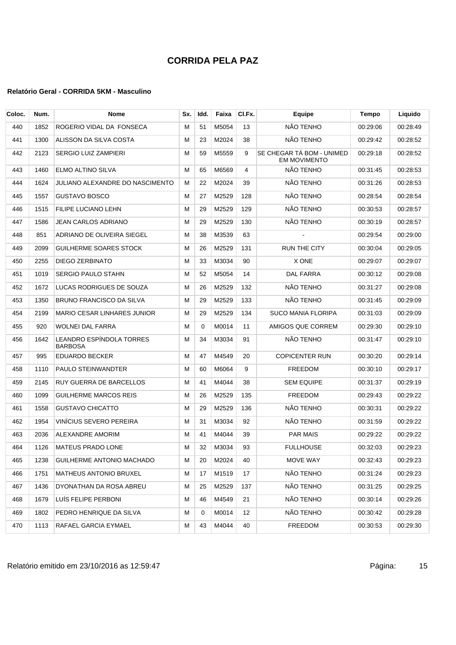| Coloc. | Num. | Nome                                | Sx. | Idd.     | Faixa | CI.Fx. | Equipe                                           | Tempo    | Liquido  |
|--------|------|-------------------------------------|-----|----------|-------|--------|--------------------------------------------------|----------|----------|
| 440    | 1852 | ROGERIO VIDAL DA FONSECA            | м   | 51       | M5054 | 13     | NÃO TENHO                                        | 00:29:06 | 00:28:49 |
| 441    | 1300 | ALISSON DA SILVA COSTA              | м   | 23       | M2024 | 38     | NÃO TENHO                                        | 00:29:42 | 00:28:52 |
| 442    | 2123 | <b>SERGIO LUIZ ZAMPIERI</b>         | М   | 59       | M5559 | 9      | SE CHEGAR TÁ BOM - UNIMED<br><b>EM MOVIMENTO</b> | 00:29:18 | 00:28:52 |
| 443    | 1460 | ELMO ALTINO SILVA                   | м   | 65       | M6569 | 4      | NÃO TENHO                                        | 00:31:45 | 00:28:53 |
| 444    | 1624 | JULIANO ALEXANDRE DO NASCIMENTO     | м   | 22       | M2024 | 39     | NÃO TENHO                                        | 00:31:26 | 00:28:53 |
| 445    | 1557 | <b>GUSTAVO BOSCO</b>                | м   | 27       | M2529 | 128    | NÃO TENHO                                        | 00:28:54 | 00:28:54 |
| 446    | 1515 | FILIPE LUCIANO LEHN                 | M   | 29       | M2529 | 129    | NÃO TENHO                                        | 00:30:53 | 00:28:57 |
| 447    | 1586 | JEAN CARLOS ADRIANO                 | М   | 29       | M2529 | 130    | NÃO TENHO                                        | 00:30:19 | 00:28:57 |
| 448    | 851  | ADRIANO DE OLIVEIRA SIEGEL          | м   | 38       | M3539 | 63     |                                                  | 00:29:54 | 00:29:00 |
| 449    | 2099 | GUILHERME SOARES STOCK              | м   | 26       | M2529 | 131    | <b>RUN THE CITY</b>                              | 00:30:04 | 00:29:05 |
| 450    | 2255 | DIEGO ZERBINATO                     | м   | 33       | M3034 | 90     | X ONE                                            | 00:29:07 | 00:29:07 |
| 451    | 1019 | <b>SERGIO PAULO STAHN</b>           | м   | 52       | M5054 | 14     | DAL FARRA                                        | 00:30:12 | 00:29:08 |
| 452    | 1672 | LUCAS RODRIGUES DE SOUZA            | М   | 26       | M2529 | 132    | NÃO TENHO                                        | 00:31:27 | 00:29:08 |
| 453    | 1350 | <b>BRUNO FRANCISCO DA SILVA</b>     | М   | 29       | M2529 | 133    | NÃO TENHO                                        | 00:31:45 | 00:29:09 |
| 454    | 2199 | <b>MARIO CESAR LINHARES JUNIOR</b>  | м   | 29       | M2529 | 134    | <b>SUCO MANIA FLORIPA</b>                        | 00:31:03 | 00:29:09 |
| 455    | 920  | WOLNEI DAL FARRA                    | м   | $\Omega$ | M0014 | 11     | AMIGOS QUE CORREM                                | 00:29:30 | 00:29:10 |
| 456    | 1642 | LEANDRO ESPÍNDOLA TORRES<br>BARBOSA | M   | 34       | M3034 | 91     | NÃO TENHO                                        | 00:31:47 | 00:29:10 |
| 457    | 995  | <b>EDUARDO BECKER</b>               | м   | 47       | M4549 | 20     | <b>COPICENTER RUN</b>                            | 00:30:20 | 00:29:14 |
| 458    | 1110 | PAULO STEINWANDTER                  | м   | 60       | M6064 | 9      | <b>FREEDOM</b>                                   | 00:30:10 | 00:29:17 |
| 459    | 2145 | RUY GUERRA DE BARCELLOS             | м   | 41       | M4044 | 38     | <b>SEM EQUIPE</b>                                | 00:31:37 | 00:29:19 |
| 460    | 1099 | GUILHERME MARCOS REIS               | м   | 26       | M2529 | 135    | <b>FREEDOM</b>                                   | 00:29:43 | 00:29:22 |
| 461    | 1558 | <b>GUSTAVO CHICATTO</b>             | м   | 29       | M2529 | 136    | NÃO TENHO                                        | 00:30:31 | 00:29:22 |
| 462    | 1954 | VINÍCIUS SEVERO PEREIRA             | м   | 31       | M3034 | 92     | NÃO TENHO                                        | 00:31:59 | 00:29:22 |
| 463    | 2036 | ALEXANDRE AMORIM                    | М   | 41       | M4044 | 39     | <b>PAR MAIS</b>                                  | 00:29:22 | 00:29:22 |
| 464    | 1126 | <b>MATEUS PRADO LONE</b>            | М   | 32       | M3034 | 93     | FULLHOUSE                                        | 00:32:03 | 00:29:23 |
| 465    | 1238 | GUILHERME ANTONIO MACHADO           | м   | 20       | M2024 | 40     | MOVE WAY                                         | 00:32:43 | 00:29:23 |
| 466    | 1751 | MATHEUS ANTONIO BRUXEL              | M   | 17       | M1519 | 17     | NÃO TENHO                                        | 00:31:24 | 00:29:23 |
| 467    | 1436 | DYONATHAN DA ROSA ABREU             | м   | 25       | M2529 | 137    | NÃO TENHO                                        | 00:31:25 | 00:29:25 |
| 468    | 1679 | LUIS FELIPE PERBONI                 | M   | 46       | M4549 | 21     | NÃO TENHO                                        | 00:30:14 | 00:29:26 |
| 469    | 1802 | PEDRO HENRIQUE DA SILVA             | м   | 0        | M0014 | 12     | NÃO TENHO                                        | 00:30:42 | 00:29:28 |
| 470    | 1113 | RAFAEL GARCIA EYMAEL                | M   | 43       | M4044 | 40     | FREEDOM                                          | 00:30:53 | 00:29:30 |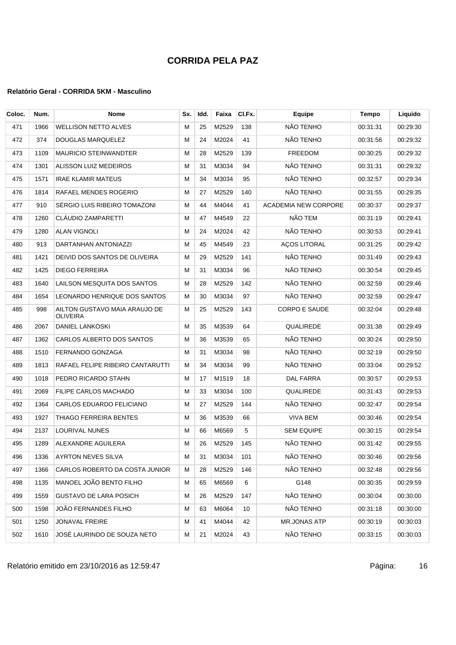### **Relatório Geral - CORRIDA 5KM - Masculino**

| Coloc. | Num. | <b>Nome</b>                                      | Sx. | Idd. | Faixa | CI.Fx. | Equipe                      | Tempo    | Liquido  |
|--------|------|--------------------------------------------------|-----|------|-------|--------|-----------------------------|----------|----------|
| 471    | 1966 | <b>WELLISON NETTO ALVES</b>                      | M   | 25   | M2529 | 138    | NÃO TENHO                   | 00:31:31 | 00:29:30 |
| 472    | 374  | DOUGLAS MARQUELEZ                                | м   | 24   | M2024 | 41     | NÃO TENHO                   | 00:31:56 | 00:29:32 |
| 473    | 1109 | <b>MAURICIO STEINWANDTER</b>                     | м   | 28   | M2529 | 139    | <b>FREEDOM</b>              | 00:30:25 | 00:29:32 |
| 474    | 1301 | ALISSON LUIZ MEDEIROS                            | M   | 31   | M3034 | 94     | NÃO TENHO                   | 00:31:31 | 00:29:32 |
| 475    | 1571 | <b>IRAE KLAMIR MATEUS</b>                        | М   | 34   | M3034 | 95     | NÃO TENHO                   | 00:32:57 | 00:29:34 |
| 476    | 1814 | RAFAEL MENDES ROGERIO                            | М   | 27   | M2529 | 140    | NÃO TENHO                   | 00:31:55 | 00:29:35 |
| 477    | 910  | SERGIO LUIS RIBEIRO TOMAZONI                     | М   | 44   | M4044 | 41     | <b>ACADEMIA NEW CORPORE</b> | 00:30:37 | 00:29:37 |
| 478    | 1260 | CLÁUDIO ZAMPARETTI                               | м   | 47   | M4549 | 22     | NÃO TEM                     | 00:31:19 | 00:29:41 |
| 479    | 1280 | <b>ALAN VIGNOLI</b>                              | М   | 24   | M2024 | 42     | NÃO TENHO                   | 00:30:53 | 00:29:41 |
| 480    | 913  | DARTANHAN ANTONIAZZI                             | М   | 45   | M4549 | 23     | <b>AÇOS LITORAL</b>         | 00:31:25 | 00:29:42 |
| 481    | 1421 | DEIVID DOS SANTOS DE OLIVEIRA                    | M   | 29   | M2529 | 141    | NÃO TENHO                   | 00:31:49 | 00:29:43 |
| 482    | 1425 | <b>DIEGO FERREIRA</b>                            | м   | 31   | M3034 | 96     | NÃO TENHO                   | 00:30:54 | 00:29:45 |
| 483    | 1640 | LAILSON MESQUITA DOS SANTOS                      | М   | 28   | M2529 | 142    | NÃO TENHO                   | 00:32:59 | 00:29:46 |
| 484    | 1654 | LEONARDO HENRIQUE DOS SANTOS                     | м   | 30   | M3034 | 97     | NÃO TENHO                   | 00:32:59 | 00:29:47 |
| 485    | 998  | AILTON GUSTAVO MAIA ARAUJO DE<br><b>OLIVEIRA</b> | М   | 25   | M2529 | 143    | <b>CORPO E SAUDE</b>        | 00:32:04 | 00:29:48 |
| 486    | 2067 | DANIEL LANKOSKI                                  | M   | 35   | M3539 | 64     | QUALIREDE                   | 00:31:38 | 00:29:49 |
| 487    | 1362 | CARLOS ALBERTO DOS SANTOS                        | м   | 36   | M3539 | 65     | NÃO TENHO                   | 00:30:24 | 00:29:50 |
| 488    | 1510 | FERNANDO GONZAGA                                 | м   | 31   | M3034 | 98     | NÃO TENHO                   | 00:32:19 | 00:29:50 |
| 489    | 1813 | RAFAEL FELIPE RIBEIRO CANTARUTTI                 | м   | 34   | M3034 | 99     | NÃO TENHO                   | 00:33:04 | 00:29:52 |
| 490    | 1018 | PEDRO RICARDO STAHN                              | М   | 17   | M1519 | 18     | DAL FARRA                   | 00:30:57 | 00:29:53 |
| 491    | 2069 | FILIPE CARLOS MACHADO                            | М   | 33   | M3034 | 100    | QUALIREDE                   | 00:31:43 | 00:29:53 |
| 492    | 1364 | <b>CARLOS EDUARDO FELICIANO</b>                  | M   | 27   | M2529 | 144    | NÃO TENHO                   | 00:32:47 | 00:29:54 |
| 493    | 1927 | THIAGO FERREIRA BENTES                           | М   | 36   | M3539 | 66     | VIVA BEM                    | 00:30:46 | 00:29:54 |
| 494    | 2137 | LOURIVAL NUNES                                   | M   | 66   | M6569 | 5      | <b>SEM EQUIPE</b>           | 00:30:15 | 00:29:54 |
| 495    | 1289 | ALEXANDRE AGUILERA                               | м   | 26   | M2529 | 145    | NÃO TENHO                   | 00:31:42 | 00:29:55 |
| 496    | 1336 | AYRTON NEVES SILVA                               | М   | 31   | M3034 | 101    | NÃO TENHO                   | 00:30:46 | 00:29:56 |
| 497    | 1366 | CARLOS ROBERTO DA COSTA JUNIOR                   | М   | 28   | M2529 | 146    | NÃO TENHO                   | 00:32:48 | 00:29:56 |
| 498    | 1135 | MANOEL JOÃO BENTO FILHO                          | м   | 65   | M6569 | 6      | G148                        | 00:30:35 | 00:29:59 |
| 499    | 1559 | <b>GUSTAVO DE LARA POSICH</b>                    | M   | 26   | M2529 | 147    | NÃO TENHO                   | 00:30:04 | 00:30:00 |
| 500    | 1598 | JOÃO FERNANDES FILHO                             | м   | 63   | M6064 | 10     | NÃO TENHO                   | 00:31:18 | 00:30:00 |
| 501    | 1250 | JONAVAL FREIRE                                   | м   | 41   | M4044 | 42     | <b>MR.JONAS ATP</b>         | 00:30:19 | 00:30:03 |
| 502    | 1610 | JOSÉ LAURINDO DE SOUZA NETO                      | м   | 21   | M2024 | 43     | NÃO TENHO                   | 00:33:15 | 00:30:03 |

Relatório emitido em 23/10/2016 as 12:59:47 em 23/10/2016 as 12:59:47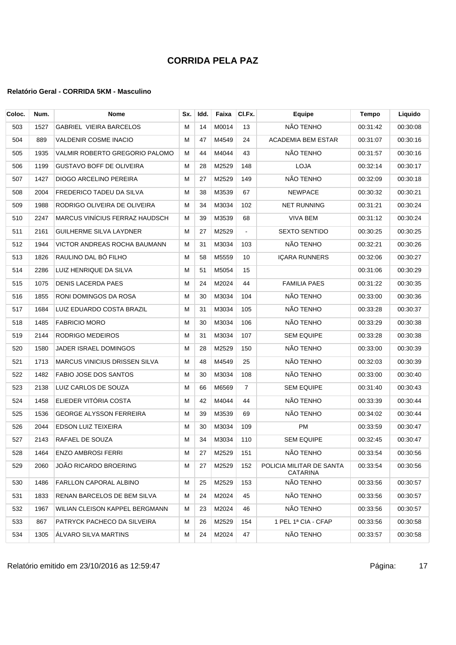### **Relatório Geral - CORRIDA 5KM - Masculino**

| Coloc. | Num. | <b>Nome</b>                          | Sx. | Idd. | Faixa | CI.Fx.         | Equipe                                      | Tempo    | Liquido  |
|--------|------|--------------------------------------|-----|------|-------|----------------|---------------------------------------------|----------|----------|
| 503    | 1527 | <b>GABRIEL VIEIRA BARCELOS</b>       | м   | 14   | M0014 | 13             | NÃO TENHO                                   | 00:31:42 | 00:30:08 |
| 504    | 889  | <b>VALDENIR COSME INACIO</b>         | м   | 47   | M4549 | 24             | ACADEMIA BEM ESTAR                          | 00:31:07 | 00:30:16 |
| 505    | 1935 | VALMIR ROBERTO GREGORIO PALOMO       | М   | 44   | M4044 | 43             | NÃO TENHO                                   | 00:31:57 | 00:30:16 |
| 506    | 1199 | <b>GUSTAVO BOFF DE OLIVEIRA</b>      | м   | 28   | M2529 | 148            | <b>LOJA</b>                                 | 00:32:14 | 00:30:17 |
| 507    | 1427 | DIOGO ARCELINO PEREIRA               | м   | 27   | M2529 | 149            | NÃO TENHO                                   | 00:32:09 | 00:30:18 |
| 508    | 2004 | FREDERICO TADEU DA SILVA             | м   | 38   | M3539 | 67             | <b>NEWPACE</b>                              | 00:30:32 | 00:30:21 |
| 509    | 1988 | RODRIGO OLIVEIRA DE OLIVEIRA         | м   | 34   | M3034 | 102            | <b>NET RUNNING</b>                          | 00:31:21 | 00:30:24 |
| 510    | 2247 | MARCUS VINÍCIUS FERRAZ HAUDSCH       | м   | 39   | M3539 | 68             | <b>VIVA BEM</b>                             | 00:31:12 | 00:30:24 |
| 511    | 2161 | <b>GUILHERME SILVA LAYDNER</b>       | м   | 27   | M2529 | $\blacksquare$ | <b>SEXTO SENTIDO</b>                        | 00:30:25 | 00:30:25 |
| 512    | 1944 | VICTOR ANDREAS ROCHA BAUMANN         | м   | 31   | M3034 | 103            | NÃO TENHO                                   | 00:32:21 | 00:30:26 |
| 513    | 1826 | RAULINO DAL BÓ FILHO                 | м   | 58   | M5559 | 10             | <b>ICARA RUNNERS</b>                        | 00:32:06 | 00:30:27 |
| 514    | 2286 | LUIZ HENRIQUE DA SILVA               | м   | 51   | M5054 | 15             |                                             | 00:31:06 | 00:30:29 |
| 515    | 1075 | <b>DENIS LACERDA PAES</b>            | м   | 24   | M2024 | 44             | <b>FAMILIA PAES</b>                         | 00:31:22 | 00:30:35 |
| 516    | 1855 | RONI DOMINGOS DA ROSA                | M   | 30   | M3034 | 104            | NÃO TENHO                                   | 00:33:00 | 00:30:36 |
| 517    | 1684 | LUIZ EDUARDO COSTA BRAZIL            | М   | 31   | M3034 | 105            | NÃO TENHO                                   | 00:33:28 | 00:30:37 |
| 518    | 1485 | <b>FABRICIO MORO</b>                 | м   | 30   | M3034 | 106            | NÃO TENHO                                   | 00:33:29 | 00:30:38 |
| 519    | 2144 | RODRIGO MEDEIROS                     | M   | 31   | M3034 | 107            | <b>SEM EQUIPE</b>                           | 00:33:28 | 00:30:38 |
| 520    | 1580 | JADER ISRAEL DOMINGOS                | м   | 28   | M2529 | 150            | NÃO TENHO                                   | 00:33:00 | 00:30:39 |
| 521    | 1713 | <b>MARCUS VINICIUS DRISSEN SILVA</b> | м   | 48   | M4549 | 25             | NÃO TENHO                                   | 00:32:03 | 00:30:39 |
| 522    | 1482 | FABIO JOSE DOS SANTOS                | м   | 30   | M3034 | 108            | NÃO TENHO                                   | 00:33:00 | 00:30:40 |
| 523    | 2138 | LUIZ CARLOS DE SOUZA                 | м   | 66   | M6569 | $\overline{7}$ | <b>SEM EQUIPE</b>                           | 00:31:40 | 00:30:43 |
| 524    | 1458 | ELIEDER VITÓRIA COSTA                | м   | 42   | M4044 | 44             | NÃO TENHO                                   | 00:33:39 | 00:30:44 |
| 525    | 1536 | <b>GEORGE ALYSSON FERREIRA</b>       | м   | 39   | M3539 | 69             | NÃO TENHO                                   | 00:34:02 | 00:30:44 |
| 526    | 2044 | <b>EDSON LUIZ TEIXEIRA</b>           | м   | 30   | M3034 | 109            | <b>PM</b>                                   | 00:33:59 | 00:30:47 |
| 527    | 2143 | RAFAEL DE SOUZA                      | м   | 34   | M3034 | 110            | <b>SEM EQUIPE</b>                           | 00:32:45 | 00:30:47 |
| 528    |      | 1464 ENZO AMBROSI FERRI              | M   | 27   | M2529 | 151            | NÃO TENHO                                   | 00:33:54 | 00:30:56 |
| 529    | 2060 | JOAO RICARDO BROERING                | м   | 27   | M2529 | 152            | POLICIA MILITAR DE SANTA<br><b>CATARINA</b> | 00:33:54 | 00:30:56 |
| 530    | 1486 | FARLLON CAPORAL ALBINO               | м   | 25   | M2529 | 153            | NÃO TENHO                                   | 00:33:56 | 00:30:57 |
| 531    | 1833 | RENAN BARCELOS DE BEM SILVA          | м   | 24   | M2024 | 45             | NÃO TENHO                                   | 00:33:56 | 00:30:57 |
| 532    | 1967 | WILIAN CLEISON KAPPEL BERGMANN       | м   | 23   | M2024 | 46             | NÃO TENHO                                   | 00:33:56 | 00:30:57 |
| 533    | 867  | PATRYCK PACHECO DA SILVEIRA          | м   | 26   | M2529 | 154            | 1 PEL 1ª CIA - CFAP                         | 00:33:56 | 00:30:58 |
| 534    | 1305 | ALVARO SILVA MARTINS                 | М   | 24   | M2024 | 47             | NÃO TENHO                                   | 00:33:57 | 00:30:58 |

Relatório emitido em 23/10/2016 as 12:59:47 em 23/10/2016 as 12:59:47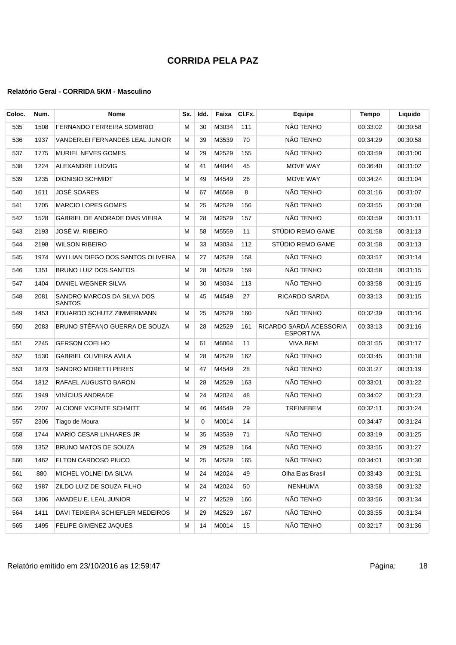| Coloc. | Num. | Nome                                        | Sx. | Idd.     | Faixa | CI.Fx. | <b>Equipe</b>                               | Tempo    | Liquido  |
|--------|------|---------------------------------------------|-----|----------|-------|--------|---------------------------------------------|----------|----------|
| 535    | 1508 | FERNANDO FERREIRA SOMBRIO                   | м   | 30       | M3034 | 111    | NÃO TENHO                                   | 00:33:02 | 00:30:58 |
| 536    | 1937 | VANDERLEI FERNANDES LEAL JUNIOR             | м   | 39       | M3539 | 70     | NÃO TENHO                                   | 00:34:29 | 00:30:58 |
| 537    | 1775 | MURIEL NEVES GOMES                          | М   | 29       | M2529 | 155    | NÃO TENHO                                   | 00:33:59 | 00:31:00 |
| 538    | 1224 | ALEXANDRE LUDVIG                            | м   | 41       | M4044 | 45     | MOVE WAY                                    | 00:36:40 | 00:31:02 |
| 539    | 1235 | <b>DIONISIO SCHMIDT</b>                     | М   | 49       | M4549 | 26     | MOVE WAY                                    | 00:34:24 | 00:31:04 |
| 540    | 1611 | JOSÉ SOARES                                 | м   | 67       | M6569 | 8      | NÃO TENHO                                   | 00:31:16 | 00:31:07 |
| 541    | 1705 | <b>MARCIO LOPES GOMES</b>                   | м   | 25       | M2529 | 156    | NÃO TENHO                                   | 00:33:55 | 00:31:08 |
| 542    | 1528 | GABRIEL DE ANDRADE DIAS VIEIRA              | м   | 28       | M2529 | 157    | NÃO TENHO                                   | 00:33:59 | 00:31:11 |
| 543    | 2193 | JOSÉ W. RIBEIRO                             | м   | 58       | M5559 | 11     | STÚDIO REMO GAME                            | 00:31:58 | 00:31:13 |
| 544    | 2198 | <b>WILSON RIBEIRO</b>                       | M   | 33       | M3034 | 112    | STÚDIO REMO GAME                            | 00:31:58 | 00:31:13 |
| 545    | 1974 | WYLLIAN DIEGO DOS SANTOS OLIVEIRA           | м   | 27       | M2529 | 158    | NÃO TENHO                                   | 00:33:57 | 00:31:14 |
| 546    | 1351 | BRUNO LUIZ DOS SANTOS                       | м   | 28       | M2529 | 159    | NÃO TENHO                                   | 00:33:58 | 00:31:15 |
| 547    | 1404 | DANIEL WEGNER SILVA                         | M   | 30       | M3034 | 113    | NÃO TENHO                                   | 00:33:58 | 00:31:15 |
| 548    | 2081 | SANDRO MARCOS DA SILVA DOS<br><b>SANTOS</b> | M   | 45       | M4549 | 27     | <b>RICARDO SARDA</b>                        | 00:33:13 | 00:31:15 |
| 549    | 1453 | EDUARDO SCHUTZ ZIMMERMANN                   | м   | 25       | M2529 | 160    | NÃO TENHO                                   | 00:32:39 | 00:31:16 |
| 550    | 2083 | BRUNO STÉFANO GUERRA DE SOUZA               | М   | 28       | M2529 | 161    | RICARDO SARDÁ ACESSORIA<br><b>ESPORTIVA</b> | 00:33:13 | 00:31:16 |
| 551    | 2245 | <b>GERSON COELHO</b>                        | м   | 61       | M6064 | 11     | <b>VIVA BEM</b>                             | 00:31:55 | 00:31:17 |
| 552    | 1530 | GABRIEL OLIVEIRA AVILA                      | M   | 28       | M2529 | 162    | NÃO TENHO                                   | 00:33:45 | 00:31:18 |
| 553    | 1879 | SANDRO MORETTI PERES                        | м   | 47       | M4549 | 28     | NÃO TENHO                                   | 00:31:27 | 00:31:19 |
| 554    | 1812 | RAFAEL AUGUSTO BARON                        | М   | 28       | M2529 | 163    | NÃO TENHO                                   | 00:33:01 | 00:31:22 |
| 555    | 1949 | <b>VINÍCIUS ANDRADE</b>                     | М   | 24       | M2024 | 48     | NÃO TENHO                                   | 00:34:02 | 00:31:23 |
| 556    | 2207 | ALCIONE VICENTE SCHMITT                     | м   | 46       | M4549 | 29     | <b>TREINEBEM</b>                            | 00:32:11 | 00:31:24 |
| 557    | 2306 | Tiago de Moura                              | М   | $\Omega$ | M0014 | 14     |                                             | 00:34:47 | 00:31:24 |
| 558    | 1744 | <b>MARIO CESAR LINHARES JR</b>              | М   | 35       | M3539 | 71     | NÃO TENHO                                   | 00:33:19 | 00:31:25 |
| 559    | 1352 | <b>BRUNO MATOS DE SOUZA</b>                 | М   | 29       | M2529 | 164    | NÃO TENHO                                   | 00:33:55 | 00:31:27 |
| 560    | 1462 | ELTON CARDOSO PIUCO                         | M   | 25       | M2529 | 165    | NÃO TENHO                                   | 00:34:01 | 00:31:30 |
| 561    | 880  | MICHEL VOLNEI DA SILVA                      | м   | 24       | M2024 | 49     | Olha Elas Brasil                            | 00:33:43 | 00:31:31 |
| 562    | 1987 | ZILDO LUIZ DE SOUZA FILHO                   | М   | 24       | M2024 | 50     | <b>NENHUMA</b>                              | 00:33:58 | 00:31:32 |
| 563    | 1306 | AMADEU E. LEAL JUNIOR                       | М   | 27       | M2529 | 166    | NÃO TENHO                                   | 00:33:56 | 00:31:34 |
| 564    | 1411 | DAVI TEIXEIRA SCHIEFLER MEDEIROS            | м   | 29       | M2529 | 167    | NÃO TENHO                                   | 00:33:55 | 00:31:34 |
| 565    | 1495 | FELIPE GIMENEZ JAQUES                       | М   | 14       | M0014 | 15     | NÃO TENHO                                   | 00:32:17 | 00:31:36 |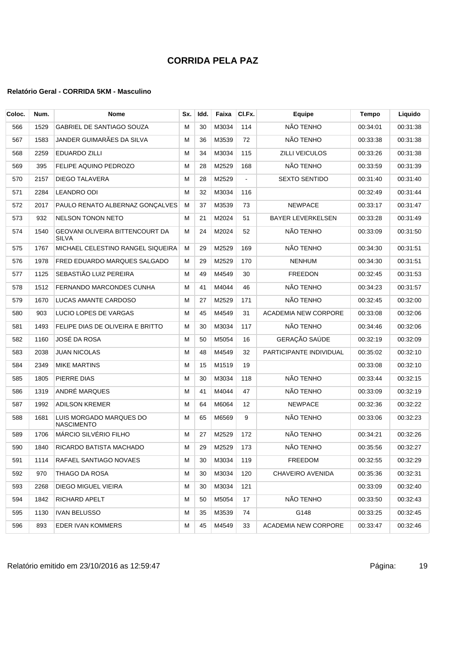| Coloc. | Num. | <b>Nome</b>                                     | Sx. | Idd. | Faixa | CI.Fx.         | <b>Equipe</b>            | Tempo    | Liquido  |
|--------|------|-------------------------------------------------|-----|------|-------|----------------|--------------------------|----------|----------|
| 566    | 1529 | <b>GABRIEL DE SANTIAGO SOUZA</b>                | M   | 30   | M3034 | 114            | NÃO TENHO                | 00:34:01 | 00:31:38 |
| 567    | 1583 | JANDER GUIMARÃES DA SILVA                       | М   | 36   | M3539 | 72             | NÃO TENHO                | 00:33:38 | 00:31:38 |
| 568    | 2259 | <b>EDUARDO ZILLI</b>                            | M   | 34   | M3034 | 115            | <b>ZILLI VEICULOS</b>    | 00:33:26 | 00:31:38 |
| 569    | 395  | FELIPE AQUINO PEDROZO                           | M   | 28   | M2529 | 168            | NÃO TENHO                | 00:33:59 | 00:31:39 |
| 570    | 2157 | DIEGO TALAVERA                                  | M   | 28   | M2529 | $\blacksquare$ | <b>SEXTO SENTIDO</b>     | 00:31:40 | 00:31:40 |
| 571    | 2284 | <b>LEANDRO ODI</b>                              | M   | 32   | M3034 | 116            |                          | 00:32:49 | 00:31:44 |
| 572    | 2017 | PAULO RENATO ALBERNAZ GONÇALVES                 | М   | 37   | M3539 | 73             | <b>NEWPACE</b>           | 00:33:17 | 00:31:47 |
| 573    | 932  | <b>NELSON TONON NETO</b>                        | м   | 21   | M2024 | 51             | <b>BAYER LEVERKELSEN</b> | 00:33:28 | 00:31:49 |
| 574    | 1540 | GEOVANI OLIVEIRA BITTENCOURT DA<br><b>SILVA</b> | M   | 24   | M2024 | 52             | NÃO TENHO                | 00:33:09 | 00:31:50 |
| 575    | 1767 | MICHAEL CELESTINO RANGEL SIQUEIRA               | м   | 29   | M2529 | 169            | NÃO TENHO                | 00:34:30 | 00:31:51 |
| 576    | 1978 | FRED EDUARDO MARQUES SALGADO                    | М   | 29   | M2529 | 170            | <b>NENHUM</b>            | 00:34:30 | 00:31:51 |
| 577    | 1125 | SEBASTIÃO LUIZ PEREIRA                          | M   | 49   | M4549 | 30             | <b>FREEDON</b>           | 00:32:45 | 00:31:53 |
| 578    | 1512 | FERNANDO MARCONDES CUNHA                        | м   | 41   | M4044 | 46             | NÃO TENHO                | 00:34:23 | 00:31:57 |
| 579    | 1670 | LUCAS AMANTE CARDOSO                            | M   | 27   | M2529 | 171            | NÃO TENHO                | 00:32:45 | 00:32:00 |
| 580    | 903  | LUCIO LOPES DE VARGAS                           | M   | 45   | M4549 | 31             | ACADEMIA NEW CORPORE     | 00:33:08 | 00:32:06 |
| 581    | 1493 | FELIPE DIAS DE OLIVEIRA E BRITTO                | M   | 30   | M3034 | 117            | NÃO TENHO                | 00:34:46 | 00:32:06 |
| 582    | 1160 | JOSÉ DA ROSA                                    | M   | 50   | M5054 | 16             | GERAÇÃO SAÚDE            | 00:32:19 | 00:32:09 |
| 583    | 2038 | <b>JUAN NICOLAS</b>                             | M   | 48   | M4549 | 32             | PARTICIPANTE INDIVIDUAL  | 00:35:02 | 00:32:10 |
| 584    | 2349 | <b>MIKE MARTINS</b>                             | М   | 15   | M1519 | 19             |                          | 00:33:08 | 00:32:10 |
| 585    | 1805 | <b>PIERRE DIAS</b>                              | M   | 30   | M3034 | 118            | NÃO TENHO                | 00:33:44 | 00:32:15 |
| 586    | 1319 | ANDRÉ MARQUES                                   | M   | 41   | M4044 | 47             | NÃO TENHO                | 00:33:09 | 00:32:19 |
| 587    | 1992 | <b>ADILSON KREMER</b>                           | М   | 64   | M6064 | 12             | <b>NEWPACE</b>           | 00:32:36 | 00:32:22 |
| 588    | 1681 | LUIS MORGADO MARQUES DO<br><b>NASCIMENTO</b>    | M   | 65   | M6569 | 9              | NÃO TENHO                | 00:33:06 | 00:32:23 |
| 589    | 1706 | MÁRCIO SILVÉRIO FILHO                           | M   | 27   | M2529 | 172            | NÃO TENHO                | 00:34:21 | 00:32:26 |
| 590    | 1840 | RICARDO BATISTA MACHADO                         | M   | 29   | M2529 | 173            | NÃO TENHO                | 00:35:56 | 00:32:27 |
| 591    | 1114 | RAFAEL SANTIAGO NOVAES                          | м   | 30   | M3034 | 119            | FREEDOM                  | 00:32:55 | 00:32:29 |
| 592    | 970  | THIAGO DA ROSA                                  | M   | 30   | M3034 | 120            | CHAVEIRO AVENIDA         | 00:35:36 | 00:32:31 |
| 593    | 2268 | DIEGO MIGUEL VIEIRA                             | М   | 30   | M3034 | 121            |                          | 00:33:09 | 00:32:40 |
| 594    | 1842 | RICHARD APELT                                   | М   | 50   | M5054 | 17             | NÃO TENHO                | 00:33:50 | 00:32:43 |
| 595    | 1130 | <b>IVAN BELUSSO</b>                             | м   | 35   | M3539 | 74             | G148                     | 00:33:25 | 00:32:45 |
| 596    | 893  | EDER IVAN KOMMERS                               | м   | 45   | M4549 | 33             | ACADEMIA NEW CORPORE     | 00:33:47 | 00:32:46 |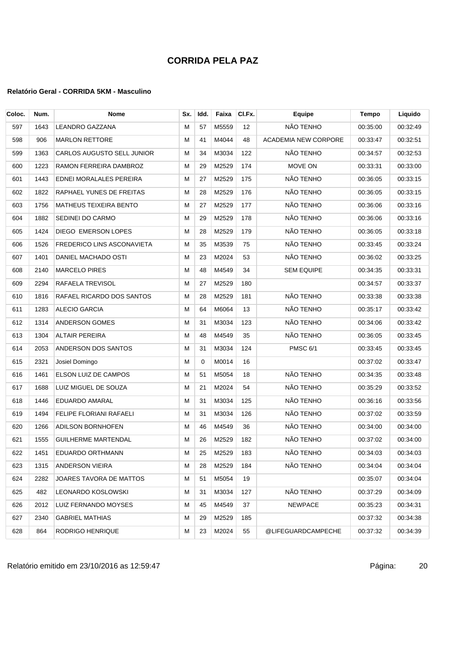| Coloc. | Num. | <b>Nome</b>                    | Sx. | Idd. | Faixa    | CI.Fx. | <b>Equipe</b>               | <b>Tempo</b> | Liquido  |
|--------|------|--------------------------------|-----|------|----------|--------|-----------------------------|--------------|----------|
| 597    | 1643 | <b>LEANDRO GAZZANA</b>         | м   | 57   | M5559    | 12     | NÃO TENHO                   | 00:35:00     | 00:32:49 |
| 598    | 906  | <b>MARLON RETTORE</b>          | м   | 41   | M4044    | 48     | <b>ACADEMIA NEW CORPORE</b> | 00:33:47     | 00:32:51 |
| 599    | 1363 | CARLOS AUGUSTO SELL JUNIOR     | м   | 34   | M3034    | 122    | NÃO TENHO                   | 00:34:57     | 00:32:53 |
| 600    | 1223 | RAMON FERREIRA DAMBROZ         | М   | 29   | M2529    | 174    | MOVE ON                     | 00:33:31     | 00:33:00 |
| 601    | 1443 | EDNEI MORALALES PEREIRA        | м   | 27   | M2529    | 175    | NÃO TENHO                   | 00:36:05     | 00:33:15 |
| 602    | 1822 | RAPHAEL YUNES DE FREITAS       | м   | 28   | M2529    | 176    | NÃO TENHO                   | 00:36:05     | 00:33:15 |
| 603    | 1756 | MATHEUS TEIXEIRA BENTO         | м   | 27   | M2529    | 177    | NÃO TENHO                   | 00:36:06     | 00:33:16 |
| 604    | 1882 | SEDINEI DO CARMO               | м   | 29   | M2529    | 178    | NÃO TENHO                   | 00:36:06     | 00:33:16 |
| 605    | 1424 | DIEGO EMERSON LOPES            | M   | 28   | M2529    | 179    | NÃO TENHO                   | 00:36:05     | 00:33:18 |
| 606    | 1526 | FREDERICO LINS ASCONAVIETA     | М   | 35   | M3539    | 75     | NÃO TENHO                   | 00:33:45     | 00:33:24 |
| 607    | 1401 | DANIEL MACHADO OSTI            | M   | 23   | M2024    | 53     | NÃO TENHO                   | 00:36:02     | 00:33:25 |
| 608    | 2140 | <b>MARCELO PIRES</b>           | м   | 48   | M4549    | 34     | <b>SEM EQUIPE</b>           | 00:34:35     | 00:33:31 |
| 609    | 2294 | RAFAELA TREVISOL               | М   | 27   | M2529    | 180    |                             | 00:34:57     | 00:33:37 |
| 610    | 1816 | RAFAEL RICARDO DOS SANTOS      | м   | 28   | M2529    | 181    | NÃO TENHO                   | 00:33:38     | 00:33:38 |
| 611    | 1283 | ALECIO GARCIA                  | M   | 64   | M6064    | 13     | NÃO TENHO                   | 00:35:17     | 00:33:42 |
| 612    | 1314 | <b>ANDERSON GOMES</b>          | М   | 31   | M3034    | 123    | NÃO TENHO                   | 00:34:06     | 00:33:42 |
| 613    | 1304 | <b>ALTAIR PEREIRA</b>          | м   | 48   | M4549    | 35     | NÃO TENHO                   | 00:36:05     | 00:33:45 |
| 614    | 2053 | ANDERSON DOS SANTOS            | M   | 31   | M3034    | 124    | PMSC 6/1                    | 00:33:45     | 00:33:45 |
| 615    | 2321 | Josiel Domingo                 | М   | 0    | M0014    | 16     |                             | 00:37:02     | 00:33:47 |
| 616    | 1461 | ELSON LUIZ DE CAMPOS           | M   | 51   | M5054    | 18     | NÃO TENHO                   | 00:34:35     | 00:33:48 |
| 617    | 1688 | LUIZ MIGUEL DE SOUZA           | M   | 21   | M2024    | 54     | NÃO TENHO                   | 00:35:29     | 00:33:52 |
| 618    | 1446 | EDUARDO AMARAL                 | M   | 31   | M3034    | 125    | NÃO TENHO                   | 00:36:16     | 00:33:56 |
| 619    | 1494 | <b>FELIPE FLORIANI RAFAELI</b> | M   | 31   | M3034    | 126    | NÃO TENHO                   | 00:37:02     | 00:33:59 |
| 620    | 1266 | ADILSON BORNHOFEN              | м   | 46   | M4549    | 36     | NÃO TENHO                   | 00:34:00     | 00:34:00 |
| 621    | 1555 | <b>GUILHERME MARTENDAL</b>     | м   | 26   | M2529    | 182    | NÃO TENHO                   | 00:37:02     | 00:34:00 |
| 622    | 1451 | EDUARDO ORTHMANN               | M   |      | 25 M2529 | 183    | NÃO TENHO                   | 00:34:03     | 00:34:03 |
| 623    | 1315 | ANDERSON VIEIRA                | м   | 28   | M2529    | 184    | NÃO TENHO                   | 00:34:04     | 00:34:04 |
| 624    | 2282 | JOARES TAVORA DE MATTOS        | M   | 51   | M5054    | 19     |                             | 00:35:07     | 00:34:04 |
| 625    | 482  | LEONARDO KOSLOWSKI             | м   | 31   | M3034    | 127    | NÃO TENHO                   | 00:37:29     | 00:34:09 |
| 626    | 2012 | LUIZ FERNANDO MOYSES           | м   | 45   | M4549    | 37     | <b>NEWPACE</b>              | 00:35:23     | 00:34:31 |
| 627    | 2340 | <b>GABRIEL MATHIAS</b>         | м   | 29   | M2529    | 185    |                             | 00:37:32     | 00:34:38 |
| 628    | 864  | RODRIGO HENRIQUE               | м   | 23   | M2024    | 55     | @LIFEGUARDCAMPECHE          | 00:37:32     | 00:34:39 |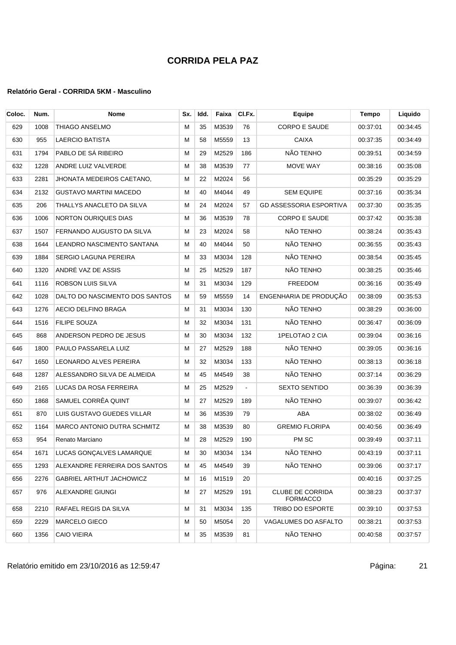### **Relatório Geral - CORRIDA 5KM - Masculino**

| Coloc. | Num. | <b>Nome</b>                    | Sx. | Idd. | Faixa | CI.Fx.         | Equipe                                     | Tempo    | Liquido  |
|--------|------|--------------------------------|-----|------|-------|----------------|--------------------------------------------|----------|----------|
| 629    | 1008 | THIAGO ANSELMO                 | М   | 35   | M3539 | 76             | <b>CORPO E SAUDE</b>                       | 00:37:01 | 00:34:45 |
| 630    | 955  | LAERCIO BATISTA                | м   | 58   | M5559 | 13             | <b>CAIXA</b>                               | 00:37:35 | 00:34:49 |
| 631    | 1794 | PABLO DE SÁ RIBEIRO            | М   | 29   | M2529 | 186            | NÃO TENHO                                  | 00:39:51 | 00:34:59 |
| 632    | 1228 | ANDRE LUIZ VALVERDE            | М   | 38   | M3539 | 77             | MOVE WAY                                   | 00:38:16 | 00:35:08 |
| 633    | 2281 | JHONATA MEDEIROS CAETANO,      | м   | 22   | M2024 | 56             |                                            | 00:35:29 | 00:35:29 |
| 634    | 2132 | <b>GUSTAVO MARTINI MACEDO</b>  | м   | 40   | M4044 | 49             | <b>SEM EQUIPE</b>                          | 00:37:16 | 00:35:34 |
| 635    | 206  | THALLYS ANACLETO DA SILVA      | м   | 24   | M2024 | 57             | <b>GD ASSESSORIA ESPORTIVA</b>             | 00:37:30 | 00:35:35 |
| 636    | 1006 | <b>NORTON OURIQUES DIAS</b>    | м   | 36   | M3539 | 78             | <b>CORPO E SAUDE</b>                       | 00:37:42 | 00:35:38 |
| 637    | 1507 | FERNANDO AUGUSTO DA SILVA      | м   | 23   | M2024 | 58             | NÃO TENHO                                  | 00:38:24 | 00:35:43 |
| 638    | 1644 | LEANDRO NASCIMENTO SANTANA     | М   | 40   | M4044 | 50             | NÃO TENHO                                  | 00:36:55 | 00:35:43 |
| 639    | 1884 | <b>SERGIO LAGUNA PEREIRA</b>   | м   | 33   | M3034 | 128            | NÃO TENHO                                  | 00:38:54 | 00:35:45 |
| 640    | 1320 | ANDRÉ VAZ DE ASSIS             | м   | 25   | M2529 | 187            | NÃO TENHO                                  | 00:38:25 | 00:35:46 |
| 641    | 1116 | ROBSON LUIS SILVA              | м   | 31   | M3034 | 129            | FREEDOM                                    | 00:36:16 | 00:35:49 |
| 642    | 1028 | DALTO DO NASCIMENTO DOS SANTOS | м   | 59   | M5559 | 14             | ENGENHARIA DE PRODUÇÃO                     | 00:38:09 | 00:35:53 |
| 643    | 1276 | AECIO DELFINO BRAGA            | М   | 31   | M3034 | 130            | NÃO TENHO                                  | 00:38:29 | 00:36:00 |
| 644    | 1516 | <b>FILIPE SOUZA</b>            | М   | 32   | M3034 | 131            | NÃO TENHO                                  | 00:36:47 | 00:36:09 |
| 645    | 868  | ANDERSON PEDRO DE JESUS        | М   | 30   | M3034 | 132            | 1PELOTAO 2 CIA                             | 00:39:04 | 00:36:16 |
| 646    | 1800 | PAULO PASSARELA LUIZ           | М   | 27   | M2529 | 188            | NÃO TENHO                                  | 00:39:05 | 00:36:16 |
| 647    | 1650 | LEONARDO ALVES PEREIRA         | м   | 32   | M3034 | 133            | NÃO TENHO                                  | 00:38:13 | 00:36:18 |
| 648    | 1287 | ALESSANDRO SILVA DE ALMEIDA    | м   | 45   | M4549 | 38             | NÃO TENHO                                  | 00:37:14 | 00:36:29 |
| 649    | 2165 | LUCAS DA ROSA FERREIRA         | М   | 25   | M2529 | $\blacksquare$ | <b>SEXTO SENTIDO</b>                       | 00:36:39 | 00:36:39 |
| 650    | 1868 | SAMUEL CORRÊA QUINT            | М   | 27   | M2529 | 189            | NÃO TENHO                                  | 00:39:07 | 00:36:42 |
| 651    | 870  | LUIS GUSTAVO GUEDES VILLAR     | м   | 36   | M3539 | 79             | ABA                                        | 00:38:02 | 00:36:49 |
| 652    | 1164 | MARCO ANTONIO DUTRA SCHMITZ    | М   | 38   | M3539 | 80             | <b>GREMIO FLORIPA</b>                      | 00:40:56 | 00:36:49 |
| 653    | 954  | Renato Marciano                | м   | 28   | M2529 | 190            | PM SC                                      | 00:39:49 | 00:37:11 |
| 654    | 1671 | LUCAS GONÇALVES LAMARQUE       | M   | 30   | M3034 | 134            | NÃO TENHO                                  | 00:43:19 | 00:37:11 |
| 655    | 1293 | ALEXANDRE FERREIRA DOS SANTOS  | м   | 45   | M4549 | 39             | NÃO TENHO                                  | 00:39:06 | 00:37:17 |
| 656    | 2276 | GABRIEL ARTHUT JACHOWICZ       | м   | 16   | M1519 | 20             |                                            | 00:40:16 | 00:37:25 |
| 657    | 976  | ALEXANDRE GIUNGI               | M   | 27   | M2529 | 191            | <b>CLUBE DE CORRIDA</b><br><b>FORMACCO</b> | 00:38:23 | 00:37:37 |
| 658    | 2210 | RAFAEL REGIS DA SILVA          | м   | 31   | M3034 | 135            | TRIBO DO ESPORTE                           | 00:39:10 | 00:37:53 |
| 659    | 2229 | <b>MARCELO GIECO</b>           | M   | 50   | M5054 | 20             | VAGALUMES DO ASFALTO                       | 00:38:21 | 00:37:53 |
| 660    | 1356 | <b>CAIO VIEIRA</b>             | M   | 35   | M3539 | 81             | NÃO TENHO                                  | 00:40:58 | 00:37:57 |

Relatório emitido em 23/10/2016 as 12:59:47 em 2008 a 21 anos 21 anos 221 anos 221 anos 221